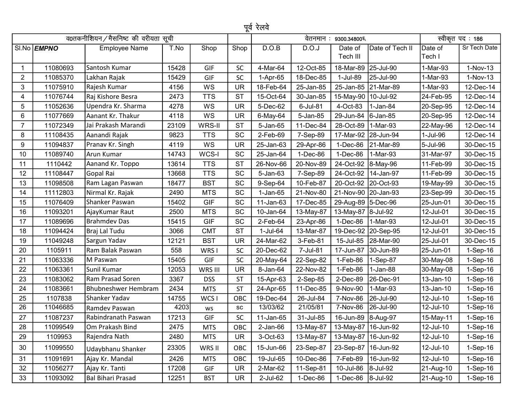|                | पूर्व रेलवे<br>व0तकनीशियन / मैसनिष्ट की वरीयता सूची<br>स्वीकृत पद: 186<br>वेतनमान : 9300.34800 % |                            |       |            |            |                 |            |                       |                     |                   |              |  |
|----------------|--------------------------------------------------------------------------------------------------|----------------------------|-------|------------|------------|-----------------|------------|-----------------------|---------------------|-------------------|--------------|--|
|                |                                                                                                  |                            |       |            |            |                 |            |                       |                     |                   |              |  |
|                | SI.No <b>EMPNO</b>                                                                               | <b>Employee Name</b>       | T.No  | Shop       | Shop       | D.O.B           | D.O.J      | Date of<br>Tech III   | Date of Tech II     | Date of<br>Tech I | Sr Tech Date |  |
| $\mathbf 1$    | 11080693                                                                                         | Santosh Kumar              | 15428 | GIF        | <b>SC</b>  | 4-Mar-64        | 12-Oct-85  | 18-Mar-89             | 25-Jul-90           | 1-Mar-93          | 1-Nov-13     |  |
| $\overline{2}$ | 11085370                                                                                         | Lakhan Rajak               | 15429 | GIF        | <b>SC</b>  | 1-Apr-65        | 18-Dec-85  | 1-Jul-89              | 25-Jul-90           | 1-Mar-93          | $1-Nov-13$   |  |
| 3              | 11075910                                                                                         | Rajesh Kumar               | 4156  | WS         | <b>UR</b>  | 18-Feb-64       | 25-Jan-85  |                       | 25-Jan-85 21-Mar-89 | 1-Mar-93          | 12-Dec-14    |  |
| 4              | 11076744                                                                                         | Raj Kishore Besra          | 2473  | <b>TTS</b> | <b>ST</b>  | 15-Oct-64       | 30-Jan-85  | 15-May-90   10-Jul-92 |                     | 24-Feb-95         | 12-Dec-14    |  |
| 5              | 11052636                                                                                         | Upendra Kr. Sharma         | 4278  | WS         | <b>UR</b>  | 5-Dec-62        | 6-Jul-81   | 4-Oct-83              | 1-Jan-84            | 20-Sep-95         | 12-Dec-14    |  |
| 6              | 11077669                                                                                         | Aanant Kr. Thakur          | 4118  | WS         | <b>UR</b>  | 6-May-64        | 5-Jan-85   | 29-Jun-84             | $ 6 - Jan-85 $      | 20-Sep-95         | 12-Dec-14    |  |
| $\overline{7}$ | 11072349                                                                                         | Jai Prakash Marandi        | 23109 | WRS-II     | <b>ST</b>  | 5-Jan-65        | 11-Dec-84  | 28-Oct-89             | 1-Mar-93            | 22-May-96         | 12-Dec-14    |  |
| 8              | 11108435                                                                                         | Aanandi Rajak              | 9823  | <b>TTS</b> | SC         | 2-Feb-69        | 7-Sep-89   | 17-Mar-92 28-Jun-94   |                     | 1-Jul-96          | 12-Dec-14    |  |
| 9              | 11094837                                                                                         | Pranav Kr. Singh           | 4119  | WS         | UR         | 25-Jan-63       | 29-Apr-86  | $1-Dec-86$            | 21-Mar-89           | 5-Jul-96          | 30-Dec-15    |  |
| 10             | 11089740                                                                                         | Arun Kumar                 | 14743 | WCS-I      | SC         | 25-Jan-64       | 1-Dec-86   | $1-Dec-86$            | 1-Mar-93            | 31-Mar-97         | 30-Dec-15    |  |
| 11             | 1110442                                                                                          | Aanand Kr. Toppo           | 13614 | <b>TTS</b> | <b>ST</b>  | 26-Nov-66       | 20-Nov-89  | 24-Oct-92             | 8-May-96            | 11-Feb-99         | 30-Dec-15    |  |
| 12             | 11108447                                                                                         | Gopal Rai                  | 13668 | <b>TTS</b> | SC         | 5-Jan-63        | 7-Sep-89   | 24-Oct-92             | 14-Jan-97           | 11-Feb-99         | 30-Dec-15    |  |
| 13             | 11098508                                                                                         | Ram Lagan Paswan           | 18477 | <b>BST</b> | SC         | 9-Sep-64        | 10-Feb-87  | 20-Oct-92 20-Oct-93   |                     | 19-May-99         | 30-Dec-15    |  |
| 14             | 11112803                                                                                         | Nirmal Kr. Rajak           | 2490  | <b>MTS</b> | <b>SC</b>  | $1-Jan-65$      | 21-Nov-80  | 21-Nov-90 20-Jan-93   |                     | 23-Sep-99         | 30-Dec-15    |  |
| 15             | 11076409                                                                                         | Shanker Paswan             | 15402 | <b>GIF</b> | SC         | 11-Jan-63       | 17-Dec-85  | 29-Aug-89 5-Dec-96    |                     | 25-Jun-01         | 30-Dec-15    |  |
| 16             | 11093201                                                                                         | AjayKumar Raut             | 2500  | <b>MTS</b> | SC         | 10-Jan-64       | 13-May-87  | 13-May-87 8-Jul-92    |                     | 12-Jul-01         | 30-Dec-15    |  |
| 17             | 11089696                                                                                         | <b>Brahmdev Das</b>        | 15415 | <b>GIF</b> | SC         | 2-Feb-64        | 23-Apr-86  | 1-Dec-86              | $ 1-Mar-93 $        | 12-Jul-01         | 30-Dec-15    |  |
| 18             | 11094424                                                                                         | Braj Lal Tudu              | 3066  | <b>CMT</b> | <b>ST</b>  | 1-Jul-64        | 13-Mar-87  |                       | 19-Dec-92 20-Sep-95 | 12-Jul-01         | 30-Dec-15    |  |
| 19             | 11049248                                                                                         | Sargun Yadav               | 12121 | <b>BST</b> | <b>UR</b>  | 24-Mar-62       | 3-Feb-81   | 15-Jul-85             | 28-Mar-90           | 25-Jul-01         | 30-Dec-15    |  |
| 20             | 1105911                                                                                          | Ram Balak Paswan           | 558   | WRS I      | <b>SC</b>  | 20-Dec-62       | 7-Jul-81   | 17-Jun-87             | 30-Jun-89           | 25-Jun-01         | $1-Sep-16$   |  |
| 21             | 11063336                                                                                         | M Paswan                   | 15405 | GIF        | SC         | 20-May-64       | 22-Sep-82  | 1-Feb-86              | 1-Sep-87            | 30-May-08         | $1-Sep-16$   |  |
| 22             | 11063361                                                                                         | Sunil Kumar                | 12053 | WRS III    | <b>UR</b>  | 8-Jan-64        | 22-Nov-82  | 1-Feb-86              | 1-Jan-88            | 30-May-08         | 1-Sep-16     |  |
| 23             | 11083062                                                                                         | Ram Prasad Soren           | 3367  | <b>DSS</b> | <b>ST</b>  | 15-Apr-63       | 2-Sep-85   | 2-Dec-89              | 26-Dec-91           | 13-Jan-10         | $1-Sep-16$   |  |
| 24             | 11083661                                                                                         | <b>Bhubneshwer Hembram</b> | 2434  | <b>MTS</b> | <b>ST</b>  | 24-Apr-65       | 11-Dec-85  | 9-Nov-90              | 1-Mar-93            | 13-Jan-10         | 1-Sep-16     |  |
| 25             | 1107838                                                                                          | Shanker Yadav              | 14755 | WCS I      | OBC        | 19-Dec-64       | 26-Jul-84  | 7-Nov-86              | 26-Jul-90           | 12-Jul-10         | $1-Sep-16$   |  |
| 26             | 11046685                                                                                         | Ramdev Paswan              | 4203  | ws         | ${\sf sc}$ | 13/03/62        | 21/05/81   | 7-Nov-86              | 26-Jul-90           | 12-Jul-10         | 1-Sep-16     |  |
| 27             | 11087237                                                                                         | Rabindranath Paswan        | 17213 | GIF        | $\sf SC$   | $11$ -Jan- $65$ | 31-Jul-85  | 16-Jun-89 8-Aug-97    |                     | 15-May-11         | 1-Sep-16     |  |
| 28             | 11099549                                                                                         | Om Prakash Bind            | 2475  | <b>MTS</b> | OBC        | $2$ -Jan- $66$  | 13-May-87  | 13-May-87   16-Jun-92 |                     | 12-Jul-10         | $1-Sep-16$   |  |
| 29             | 1109953                                                                                          | Rajendra Nath              | 2480  | <b>MTS</b> | <b>UR</b>  | 3-Oct-63        | 13-May-87  | 13-May-87   16-Jun-92 |                     | 12-Jul-10         | $1-Sep-16$   |  |
| 30             | 11099550                                                                                         | Udaybhanu Shanker          | 23305 | WRS II     | OBC        | 15-Jun-66       | 23-Sep-87  | 23-Sep-87   16-Jun-92 |                     | 12-Jul-10         | $1-Sep-16$   |  |
| 31             | 11091691                                                                                         | Ajay Kr. Mandal            | 2426  | <b>MTS</b> | OBC        | 19-Jul-65       | 10-Dec-86  | 7-Feb-89              | 16-Jun-92           | 12-Jul-10         | $1-Sep-16$   |  |
| 32             | 11056277                                                                                         | Ajay Kr. Tanti             | 17208 | GIF        | <b>UR</b>  | 2-Mar-62        | 11-Sep-81  | 10-Jul-86 8-Jul-92    |                     | 21-Aug-10         | $1-Sep-16$   |  |
| 33             | 11093092                                                                                         | <b>Bal Bihari Prasad</b>   | 12251 | <b>BST</b> | <b>UR</b>  | 2-Jul-62        | $1-Dec-86$ | 1-Dec-86 8-Jul-92     |                     | 21-Aug-10         | $1-Sep-16$   |  |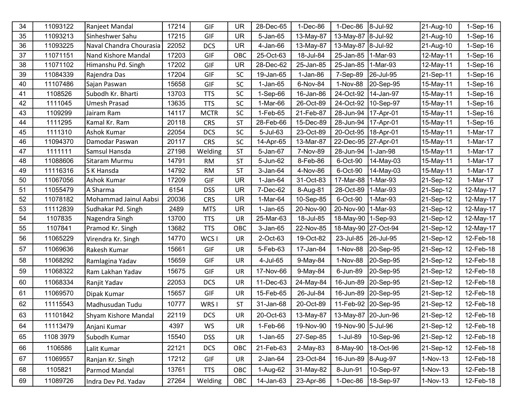| 34 | 11093122  | Ranjeet Mandal          | 17214 | GIF         | <b>UR</b> | 28-Dec-65      | 1-Dec-86  | $1-Dec-86$          | 8-Jul-92            | 21-Aug-10 | $1-Sep-16$ |
|----|-----------|-------------------------|-------|-------------|-----------|----------------|-----------|---------------------|---------------------|-----------|------------|
| 35 | 11093213  | Sinheshwer Sahu         | 17215 | GIF         | <b>UR</b> | 5-Jan-65       | 13-May-87 | 13-May-87           | 8-Jul-92            | 21-Aug-10 | $1-Sep-16$ |
| 36 | 11093225  | Naval Chandra Chourasia | 22052 | <b>DCS</b>  | <b>UR</b> | 4-Jan-66       | 13-May-87 | 13-May-87 8-Jul-92  |                     | 21-Aug-10 | $1-Sep-16$ |
| 37 | 11071151  | Nand Kishore Mandal     | 17203 | <b>GIF</b>  | OBC       | 25-Oct-63      | 18-Jul-84 | 25-Jan-85           | 1-Mar-93            | 12-May-11 | $1-Sep-16$ |
| 38 | 11071102  | Himanshu Pd. Singh      | 17202 | GIF         | <b>UR</b> | 28-Dec-62      | 25-Jan-85 | 25-Jan-85           | 1-Mar-93            | 12-May-11 | $1-Sep-16$ |
| 39 | 11084339  | Rajendra Das            | 17204 | GIF         | <b>SC</b> | 19-Jan-65      | 1-Jan-86  | 7-Sep-89            | 26-Jul-95           | 21-Sep-11 | 1-Sep-16   |
| 40 | 11107486  | Sajan Paswan            | 15658 | GIF         | SC        | 1-Jan-65       | 6-Nov-84  | 1-Nov-88            | 20-Sep-95           | 15-May-11 | $1-Sep-16$ |
| 41 | 1108526   | Subodh Kr. Bharti       | 13703 | <b>TTS</b>  | <b>SC</b> | $1-Sep-66$     | 16-Jan-86 | 24-Oct-92           | 14-Jan-97           | 15-May-11 | $1-Sep-16$ |
| 42 | 1111045   | <b>Umesh Prasad</b>     | 13635 | <b>TTS</b>  | SC        | 1-Mar-66       | 26-Oct-89 | 24-Oct-92           | 10-Sep-97           | 15-May-11 | $1-Sep-16$ |
| 43 | 1109299   | Jairam Ram              | 14117 | <b>MCTR</b> | SC        | 1-Feb-65       | 21-Feb-87 | 28-Jun-94           | 17-Apr-01           | 15-May-11 | $1-Sep-16$ |
| 44 | 1111295   | Kamal Kr. Ram           | 20118 | <b>CRS</b>  | <b>ST</b> | 28-Feb-66      | 15-Dec-89 | 28-Jun-94           | 17-Apr-01           | 15-May-11 | 1-Sep-16   |
| 45 | 1111310   | Ashok Kumar             | 22054 | <b>DCS</b>  | <b>SC</b> | 5-Jul-63       | 23-Oct-89 | 20-Oct-95           | 18-Apr-01           | 15-May-11 | 1-Mar-17   |
| 46 | 11094370  | Damodar Paswan          | 20117 | <b>CRS</b>  | SC        | 14-Apr-65      | 13-Mar-87 | 22-Dec-95           | 27-Apr-01           | 15-May-11 | 1-Mar-17   |
| 47 | 1111111   | Samsul Hansda           | 27198 | Welding     | <b>ST</b> | 5-Jan-67       | 7-Nov-89  | 28-Jun-94           | 1-Jan-98            | 15-May-11 | 1-Mar-17   |
| 48 | 11088606  | Sitaram Murmu           | 14791 | RM          | <b>ST</b> | 5-Jun-62       | 8-Feb-86  | 6-Oct-90            | 14-May-03           | 15-May-11 | 1-Mar-17   |
| 49 | 11116316  | S K Hansda              | 14792 | RM          | <b>ST</b> | 3-Jan-64       | 4-Nov-86  | 6-Oct-90            | 14-May-03           | 15-May-11 | 1-Mar-17   |
| 50 | 11067056  | Ashok Kumar             | 17209 | GIF         | <b>UR</b> | 1-Jan-64       | 31-Oct-83 | 17-Mar-88           | 1-Mar-93            | 21-Sep-12 | 1-Mar-17   |
| 51 | 11055479  | A Sharma                | 6154  | <b>DSS</b>  | <b>UR</b> | 7-Dec-62       | 8-Aug-81  | 28-Oct-89           | 1-Mar-93            | 21-Sep-12 | 12-May-17  |
| 52 | 11078182  | Mohammad Jainul Aabsi   | 20036 | <b>CRS</b>  | <b>UR</b> | 1-Mar-64       | 10-Sep-85 | 6-Oct-90            | 1-Mar-93            | 21-Sep-12 | 12-May-17  |
| 53 | 11112839  | Sudhakar Pd. Singh      | 2489  | <b>MTS</b>  | <b>UR</b> | $1-Jan-65$     | 20-Nov-90 | 20-Nov-90           | 1-Mar-93            | 21-Sep-12 | 12-May-17  |
| 54 | 1107835   | Nagendra Singh          | 13700 | <b>TTS</b>  | UR        | 25-Mar-63      | 18-Jul-85 | 18-May-90           | $ 1$ -Sep-93        | 21-Sep-12 | 12-May-17  |
| 55 | 1107841   | Pramod Kr. Singh        | 13682 | <b>TTS</b>  | OBC       | 3-Jan-65       | 22-Nov-85 | 18-May-90           | 27-Oct-94           | 21-Sep-12 | 12-May-17  |
| 56 | 11065229  | Virendra Kr. Singh      | 14770 | WCS I       | UR        | 2-Oct-63       | 19-Oct-82 | 23-Jul-85           | 26-Jul-95           | 21-Sep-12 | 12-Feb-18  |
| 57 | 11069636  | Rakesh Kumar            | 15661 | GIF         | <b>UR</b> | 5-Feb-63       | 17-Jan-84 | 1-Nov-88            | 20-Sep-95           | 21-Sep-12 | 12-Feb-18  |
| 58 | 11068292  | Ramlagina Yadav         | 15659 | GIF         | UR        | 4-Jul-65       | 9-May-84  | 1-Nov-88            | 20-Sep-95           | 21-Sep-12 | 12-Feb-18  |
| 59 | 11068322  | Ram Lakhan Yadav        | 15675 | GIF         | UR        | 17-Nov-66      | 9-May-84  | 6-Jun-89            | 20-Sep-95           | 21-Sep-12 | 12-Feb-18  |
| 60 | 11068334  | Ranjit Yadav            | 22053 | <b>DCS</b>  | UR        | 11-Dec-63      | 24-May-84 | 16-Jun-89           | 20-Sep-95           | 21-Sep-12 | 12-Feb-18  |
| 61 | 11069570  | Dipak Kumar             | 15657 | GIF         | UR        | 15-Feb-65      | 26-Jul-84 | 16-Jun-89           | 20-Sep-95           | 21-Sep-12 | 12-Feb-18  |
| 62 | 11115543  | Madhusudan Tudu         | 10777 | WRS I       | ST        | 31-Jan-68      | 20-Oct-89 |                     | 11-Feb-92 20-Sep-95 | 21-Sep-12 | 12-Feb-18  |
| 63 | 11101842  | Shyam Kishore Mandal    | 22119 | <b>DCS</b>  | <b>UR</b> | 20-Oct-63      | 13-May-87 | 13-May-87 20-Jun-96 |                     | 21-Sep-12 | 12-Feb-18  |
| 64 | 11113479  | Anjani Kumar            | 4397  | WS          | UR        | 1-Feb-66       | 19-Nov-90 | 19-Nov-90 5-Jul-96  |                     | 21-Sep-12 | 12-Feb-18  |
| 65 | 1108 3979 | Subodh Kumar            | 15540 | <b>DSS</b>  | UR        | $1-Jan-65$     | 27-Sep-85 | 1-Jul-89            | 10-Sep-96           | 21-Sep-12 | 12-Feb-18  |
| 66 | 1106586   | Lalit Kumar             | 22121 | <b>DCS</b>  | OBC       | 21-Feb-63      | 2-May-83  | 8-May-90            | 18-Oct-96           | 21-Sep-12 | 12-Feb-18  |
| 67 | 11069557  | Ranjan Kr. Singh        | 17212 | GIF         | UR        | $2$ -Jan- $64$ | 23-Oct-84 | 16-Jun-89 8-Aug-97  |                     | 1-Nov-13  | 12-Feb-18  |
| 68 | 1105821   | Parmod Mandal           | 13761 | <b>TTS</b>  | OBC       | 1-Aug-62       | 31-May-82 | 8-Jun-91            | 10-Sep-97           | 1-Nov-13  | 12-Feb-18  |
| 69 | 11089726  | Indra Dev Pd. Yadav     | 27264 | Welding     | OBC       | 14-Jan-63      | 23-Apr-86 | 1-Dec-86            | 18-Sep-97           | 1-Nov-13  | 12-Feb-18  |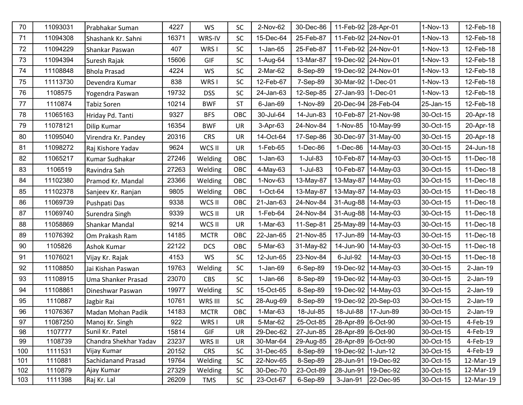| 70  | 11093031 | Prabhakar Suman           | 4227  | <b>WS</b>   | <b>SC</b> | 2-Nov-62   | 30-Dec-86 | 11-Feb-92            | 28-Apr-01 | $1-Nov-13$ | 12-Feb-18  |
|-----|----------|---------------------------|-------|-------------|-----------|------------|-----------|----------------------|-----------|------------|------------|
| 71  | 11094308 | Shashank Kr. Sahni        | 16371 | WRS-IV      | <b>SC</b> | 15-Dec-64  | 25-Feb-87 | 11-Feb-92            | 24-Nov-01 | $1-Nov-13$ | 12-Feb-18  |
| 72  | 11094229 | Shankar Paswan            | 407   | WRS I       | <b>SC</b> | 1-Jan-65   | 25-Feb-87 | 11-Feb-92 24-Nov-01  |           | $1-Nov-13$ | 12-Feb-18  |
| 73  | 11094394 | Suresh Rajak              | 15606 | GIF         | <b>SC</b> | 1-Aug-64   | 13-Mar-87 | 19-Dec-92 24-Nov-01  |           | $1-Nov-13$ | 12-Feb-18  |
| 74  | 11108848 | <b>Bhola Prasad</b>       | 4224  | WS          | <b>SC</b> | 2-Mar-62   | 8-Sep-89  | 19-Dec-92            | 24-Nov-01 | $1-Nov-13$ | 12-Feb-18  |
| 75  | 11113730 | Devendra Kumar            | 838   | WRS I       | <b>SC</b> | 12-Feb-67  | 7-Sep-89  | 30-Mar-92            | 1-Dec-01  | 1-Nov-13   | 12-Feb-18  |
| 76  | 1108575  | Yogendra Paswan           | 19732 | <b>DSS</b>  | <b>SC</b> | 24-Jan-63  | 12-Sep-85 | 27-Jan-93            | 1-Dec-01  | $1-Nov-13$ | 12-Feb-18  |
| 77  | 1110874  | Tabiz Soren               | 10214 | <b>BWF</b>  | <b>ST</b> | 6-Jan-69   | 1-Nov-89  | 20-Dec-94            | 28-Feb-04 | 25-Jan-15  | 12-Feb-18  |
| 78  | 11065163 | Hriday Pd. Tanti          | 9327  | <b>BFS</b>  | OBC       | 30-Jul-64  | 14-Jun-83 | 10-Feb-87            | 21-Nov-98 | 30-Oct-15  | 20-Apr-18  |
| 79  | 11078121 | <b>Dilip Kumar</b>        | 16354 | <b>BWF</b>  | <b>UR</b> | 3-Apr-63   | 24-Nov-84 | 1-Nov-85             | 10-May-99 | 30-Oct-15  | 20-Apr-18  |
| 80  | 11095040 | Virendra Kr. Pandey       | 20316 | <b>CRS</b>  | <b>UR</b> | 14-Oct-64  | 17-Sep-86 | 30-Dec-97            | 31-May-00 | 30-Oct-15  | 20-Apr-18  |
| 81  | 11098272 | Raj Kishore Yadav         | 9624  | WCS II      | UR        | 1-Feb-65   | 1-Dec-86  | $1-Dec-86$           | 14-May-03 | 30-Oct-15  | 24-Jun-18  |
| 82  | 11065217 | Kumar Sudhakar            | 27246 | Welding     | OBC       | $1-Jan-63$ | 1-Jul-83  | 10-Feb-87            | 14-May-03 | 30-Oct-15  | 11-Dec-18  |
| 83  | 1106519  | Ravindra Sah              | 27263 | Welding     | OBC       | 4-May-63   | 1-Jul-83  | 10-Feb-87            | 14-May-03 | 30-Oct-15  | 11-Dec-18  |
| 84  | 11102380 | Pramod Kr. Mandal         | 23366 | Welding     | OBC       | 1-Nov-63   | 13-May-87 | 13-May-87            | 14-May-03 | 30-Oct-15  | 11-Dec-18  |
| 85  | 11102378 | Sanjeev Kr. Ranjan        | 9805  | Welding     | OBC       | 1-Oct-64   | 13-May-87 | 13-May-87            | 14-May-03 | 30-Oct-15  | 11-Dec-18  |
| 86  | 11069739 | Pushpati Das              | 9338  | WCS II      | OBC       | 21-Jan-63  | 24-Nov-84 | 31-Aug-88            | 14-May-03 | 30-Oct-15  | 11-Dec-18  |
| 87  | 11069740 | Surendra Singh            | 9339  | WCS II      | UR        | 1-Feb-64   | 24-Nov-84 | 31-Aug-88            | 14-May-03 | 30-Oct-15  | 11-Dec-18  |
| 88  | 11058869 | Shankar Mandal            | 9214  | WCS II      | <b>UR</b> | 1-Mar-63   | 11-Sep-81 | 25-May-89            | 14-May-03 | 30-Oct-15  | 11-Dec-18  |
| 89  | 11076392 | Om Prakash Ram            | 14185 | <b>MCTR</b> | OBC       | 22-Jan-65  | 21-Nov-85 | 17-Jun-89            | 14-May-03 | 30-Oct-15  | 11-Dec-18  |
| 90  | 1105826  | Ashok Kumar               | 22122 | <b>DCS</b>  | OBC       | 5-Mar-63   | 31-May-82 | 14-Jun-90            | 14-May-03 | 30-Oct-15  | 11-Dec-18  |
| 91  | 11076021 | Vijay Kr. Rajak           | 4153  | <b>WS</b>   | <b>SC</b> | 12-Jun-65  | 23-Nov-84 | 6-Jul-92             | 14-May-03 | 30-Oct-15  | 11-Dec-18  |
| 92  | 11108850 | Jai Kishan Paswan         | 19763 | Welding     | <b>SC</b> | 1-Jan-69   | 6-Sep-89  | 19-Dec-92            | 14-May-03 | 30-Oct-15  | $2-Jan-19$ |
| 93  | 11108915 | Uma Shanker Prasad        | 23070 | <b>CBS</b>  | <b>SC</b> | $1-Jan-66$ | 8-Sep-89  | 19-Dec-92            | 14-May-03 | 30-Oct-15  | $2-Jan-19$ |
| 94  | 11108861 | Dineshwar Paswan          | 19977 | Welding     | <b>SC</b> | 15-Oct-65  | 8-Sep-89  | 19-Dec-92            | 14-May-03 | 30-Oct-15  | $2-Jan-19$ |
| 95  | 1110887  | Jagbir Rai                | 10761 | WRS III     | <b>SC</b> | 28-Aug-69  | 8-Sep-89  | 19-Dec-92            | 20-Sep-03 | 30-Oct-15  | $2-Jan-19$ |
| 96  | 11076367 | Madan Mohan Padik         | 14183 | <b>MCTR</b> | OBC       | 1-Mar-63   | 18-Jul-85 | 18-Jul-88            | 17-Jun-89 | 30-Oct-15  | $2-Jan-19$ |
| 97  | 11087250 | Manoj Kr. Singh           | 922   | WRS I       | UR        | 5-Mar-62   | 25-Oct-85 | 28-Apr-89 6-Oct-90   |           | 30-Oct-15  | 4-Feb-19   |
| 98  | 1107777  | Sunil Kr. Patel           | 15814 | GIF         | UR        | 29-Dec-62  | 27-Jun-85 | 28-Apr-89 6-Oct-90   |           | 30-Oct-15  | 4-Feb-19   |
| 99  | 1108739  | Chandra Shekhar Yadav     | 23237 | WRS II      | UR        | 30-Mar-64  | 29-Aug-85 | 28-Apr-89 6-Oct-90   |           | 30-Oct-15  | 4-Feb-19   |
| 100 | 1111531  | Vijay Kumar               | 20152 | <b>CRS</b>  | <b>SC</b> | 31-Dec-65  | 8-Sep-89  | 19-Dec-92   1-Jun-12 |           | 30-Oct-15  | 4-Feb-19   |
| 101 | 1110881  | <b>Sachidanand Prasad</b> | 19764 | Welding     | <b>SC</b> | 22-Nov-65  | 8-Sep-89  | 28-Jun-91            | 19-Dec-92 | 30-Oct-15  | 12-Mar-19  |
| 102 | 1110879  | Ajay Kumar                | 27329 | Welding     | <b>SC</b> | 30-Dec-70  | 23-Oct-89 | 28-Jun-91            | 19-Dec-92 | 30-Oct-15  | 12-Mar-19  |
| 103 | 1111398  | Raj Kr. Lal               | 26209 | <b>TMS</b>  | SC        | 23-Oct-67  | 6-Sep-89  | 3-Jan-91             | 22-Dec-95 | 30-Oct-15  | 12-Mar-19  |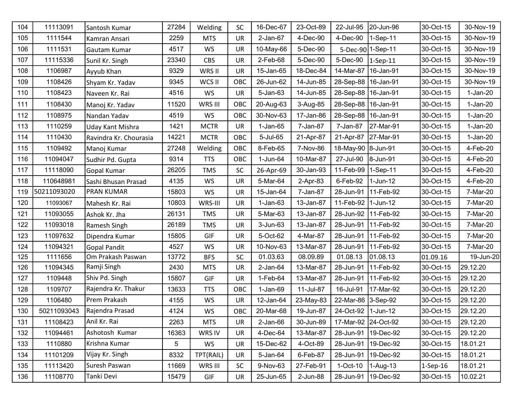| 104 | 11113091    | Santosh Kumar          | 27284 | Welding     | <b>SC</b> | 16-Dec-67      | 23-Oct-89 | 22-Jul-95             | 20-Jun-96             | 30-Oct-15   | 30-Nov-19  |
|-----|-------------|------------------------|-------|-------------|-----------|----------------|-----------|-----------------------|-----------------------|-------------|------------|
| 105 | 1111544     | Kamran Ansari          | 2259  | <b>MTS</b>  | <b>UR</b> | $2$ -Jan- $67$ | 4-Dec-90  | $4-Dec-90$            | 1-Sep-11              | 30-Oct-15   | 30-Nov-19  |
| 106 | 1111531     | Gautam Kumar           | 4517  | <b>WS</b>   | UR        | 10-May-66      | 5-Dec-90  |                       | 5-Dec-90 1-Sep-11     | 30-Oct-15   | 30-Nov-19  |
| 107 | 11115336    | Sunil Kr. Singh        | 23340 | <b>CBS</b>  | UR        | 2-Feb-68       | 5-Dec-90  | 5-Dec-90              | $1-Sep-11$            | 30-Oct-15   | 30-Nov-19  |
| 108 | 1106987     | Ayyub Khan             | 9329  | WRS II      | UR        | 15-Jan-65      | 18-Dec-84 | 14-Mar-87             | 16-Jan-91             | 30-Oct-15   | 30-Nov-19  |
| 109 | 1108426     | Shyam Kr. Yadav        | 9345  | WCS II      | OBC       | 26-Jun-62      | 14-Jun-85 | 28-Sep-88   16-Jan-91 |                       | 30-Oct-15   | 30-Nov-19  |
| 110 | 1108423     | Naveen Kr. Rai         | 4516  | <b>WS</b>   | UR        | 5-Jan-63       | 14-Jun-85 | 28-Sep-88   16-Jan-91 |                       | 30-Oct-15   | $1-Jan-20$ |
| 111 | 1108430     | Manoj Kr. Yadav        | 11520 | WRS III     | OBC       | 20-Aug-63      | 3-Aug-85  | 28-Sep-88   16-Jan-91 |                       | 30-Oct-15   | $1-Jan-20$ |
| 112 | 1108975     | Nandan Yadav           | 4519  | WS          | OBC       | 30-Nov-63      | 17-Jan-86 | 28-Sep-88   16-Jan-91 |                       | 30-Oct-15   | $1-Jan-20$ |
| 113 | 1110259     | Uday Kant Mishra       | 1421  | <b>MCTR</b> | UR        | $1-Jan-65$     | 7-Jan-87  | 7-Jan-87              | 27-Mar-91             | 30-Oct-15   | $1-Jan-20$ |
| 114 | 1110430     | Ravindra Kr. Chourasia | 14221 | <b>MCTR</b> | OBC       | 5-Jul-65       | 21-Apr-87 | 21-Apr-87             | 27-Mar-91             | 30-Oct-15   | $1-Jan-20$ |
| 115 | 1109492     | Manoj Kumar            | 27248 | Welding     | OBC       | 8-Feb-65       | 7-Nov-86  | 18-May-90 8-Jun-91    |                       | 30-Oct-15   | 4-Feb-20   |
| 116 | 11094047    | Sudhir Pd. Gupta       | 9314  | <b>TTS</b>  | OBC       | 1-Jun-64       | 10-Mar-87 | 27-Jul-90             | 8-Jun-91              | 30-Oct-15   | 4-Feb-20   |
| 117 | 11118090    | Gopal Kumar            | 26205 | <b>TMS</b>  | <b>SC</b> | 26-Apr-69      | 30-Jan-93 | 11-Feb-99             | 1-Sep-11              | 30-Oct-15   | 4-Feb-20   |
| 118 | 110648981   | Sashi Bhusan Prasad    | 4135  | WS          | UR        | 5-Mar-64       | 2-Apr-83  | 6-Feb-92              | 1-Jun-12              | 30-Oct-15   | 4-Feb-20   |
| 119 | 50211093020 | <b>PRAN KUMAR</b>      | 15803 | WS          | UR        | 15-Jan-64      | 7-Jan-87  | 28-Jun-91             | 11-Feb-92             | 30-Oct-15   | 7-Mar-20   |
| 120 | 11093067    | Mahesh Kr. Rai         | 10803 | WRS-III     | UR        | $1-Jan-63$     | 13-Jan-87 | 11-Feb-92 1-Jun-12    |                       | 30-Oct-15   | 7-Mar-20   |
| 121 | 11093055    | Ashok Kr. Jha          | 26131 | <b>TMS</b>  | <b>UR</b> | 5-Mar-63       | 13-Jan-87 | 28-Jun-92             | 11-Feb-92             | 30-Oct-15   | 7-Mar-20   |
| 122 | 11093018    | <b>Ramesh Singh</b>    | 26189 | <b>TMS</b>  | UR        | 3-Jun-63       | 13-Jan-87 | 28-Jun-91             | 11-Feb-92             | 30-Oct-15   | 7-Mar-20   |
| 123 | 11097632    | Dipendra Kumar         | 15805 | GIF         | UR        | 5-Oct-62       | 4-Mar-87  | 28-Jun-91             | 11-Feb-92             | 30-Oct-15   | 7-Mar-20   |
| 124 | 11094321    | <b>Gopal Pandit</b>    | 4527  | WS          | UR        | 10-Nov-63      | 13-Mar-87 | 28-Jun-91             | 11-Feb-92             | 30-Oct-15   | 7-Mar-20   |
| 125 | 1111656     | Om Prakash Paswan      | 13772 | <b>BFS</b>  | <b>SC</b> | 01.03.63       | 08.09.89  | 01.08.13              | 01.08.13              | 01.09.16    | 19-Jun-20  |
| 126 | 11094345    | Ramji Singh            | 2430  | <b>MTS</b>  | UR        | $2$ -Jan- $64$ | 13-Mar-87 | 28-Jun-91             | 11-Feb-92             | 30-Oct-15   | 29.12.20   |
| 127 | 1109448     | Shiv Pd. Singh         | 15807 | GIF         | UR        | 1-Feb-64       | 13-Mar-87 | 28-Jun-91             | 11-Feb-92             | 30-Oct-15   | 29.12.20   |
| 128 | 1109707     | Rajendra Kr. Thakur    | 13633 | <b>TTS</b>  | OBC       | $1-Jan-69$     | 11-Jul-87 | 16-Jul-91             | 17-Mar-92             | 30-Oct-15   | 29.12.20   |
| 129 | 1106480     | Prem Prakash           | 4155  | WS          | UR        | 12-Jan-64      | 23-May-83 | 22-Mar-86             | 3-Sep-92              | 30-Oct-15   | 29.12.20   |
| 130 | 50211093043 | Rajendra Prasad        | 4124  | <b>WS</b>   | OBC       | 20-Mar-68      | 19-Jun-87 | 24-Oct-92             | 1-Jun-12              | 30-Oct-15   | 29.12.20   |
| 131 | 11108423    | Anil Kr. Rai           | 2263  | <b>MTS</b>  | UR        | $2$ -Jan- $66$ | 30-Jun-89 | 17-Mar-92 24-Oct-92   |                       | 30-Oct-15   | 29.12.20   |
| 132 | 11094461    | Ashotosh Kumar         | 16363 | WRS IV      | <b>UR</b> | 4-Dec-64       | 13-Mar-87 |                       | 28-Jun-91 19-Dec-92   | 30-Oct-15   | 29.12.20   |
| 133 | 1110880     | Krishna Kumar          | 5     | WS          | UR        | 15-Dec-62      | 4-Oct-89  | 28-Jun-91             | 19-Dec-92             | 30-Oct-15   | 18.01.21   |
| 134 | 11101209    | Vijay Kr. Singh        | 8332  | TPT(RAIL)   | UR        | 5-Jan-64       | 6-Feb-87  |                       | 28-Jun-91   19-Dec-92 | 30-Oct-15   | 18.01.21   |
| 135 | 11113420    | Suresh Paswan          | 11669 | WRS III     | <b>SC</b> | 9-Nov-63       | 27-Feb-91 | $1-Oct-10$            | $1-Auq-13$            | $1$ -Sep-16 | 18.01.21   |
| 136 | 11108770    | Tanki Devi             | 15479 | <b>GIF</b>  | UR        | 25-Jun-65      | 2-Jun-88  |                       | 28-Jun-91   19-Dec-92 | 30-Oct-15   | 10.02.21   |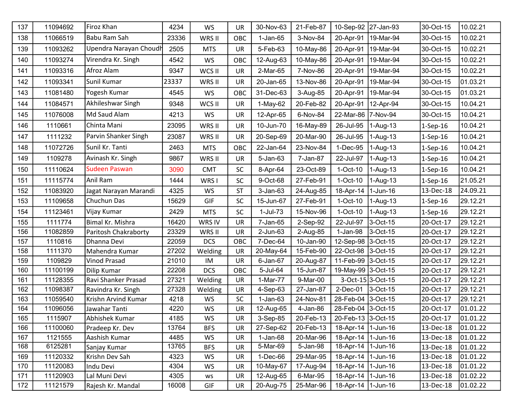| 137 | 11094692 | Firoz Khan             | 4234  | WS         | UR        | 30-Nov-63    | 21-Feb-87 | 10-Sep-92   27-Jan-93 |                   | 30-Oct-15  | 10.02.21           |
|-----|----------|------------------------|-------|------------|-----------|--------------|-----------|-----------------------|-------------------|------------|--------------------|
| 138 | 11066519 | Babu Ram Sah           | 23336 | WRS II     | OBC       | 1-Jan-65     | 3-Nov-84  | 20-Apr-91             | 19-Mar-94         | 30-Oct-15  | 10.02.21           |
| 139 | 11093262 | Upendra Narayan Choudh | 2505  | <b>MTS</b> | UR        | 5-Feb-63     | 10-May-86 | 20-Apr-91             | 19-Mar-94         | 30-Oct-15  | 10.02.21           |
| 140 | 11093274 | Virendra Kr. Singh     | 4542  | <b>WS</b>  | OBC       | 12-Aug-63    | 10-May-86 | 20-Apr-91             | 19-Mar-94         | 30-Oct-15  | 10.02.21           |
| 141 | 11093316 | Afroz Alam             | 9347  | WCS II     | <b>UR</b> | 2-Mar-65     | 7-Nov-86  | 20-Apr-91             | 19-Mar-94         | 30-Oct-15  | 10.02.21           |
| 142 | 11093341 | Sunil Kumar            | 23337 | WRS II     | <b>UR</b> | 20-Jan-65    | 13-Nov-86 | 20-Apr-91             | 19-Mar-94         | 30-Oct-15  | 01.03.21           |
| 143 | 11081480 | Yogesh Kumar           | 4545  | WS         | OBC       | 31-Dec-63    | 3-Aug-85  | 20-Apr-91             | 19-Mar-94         | 30-Oct-15  | 01.03.21           |
| 144 | 11084571 | Akhileshwar Singh      | 9348  | WCS II     | UR        | $1-May-62$   | 20-Feb-82 | 20-Apr-91             | 12-Apr-94         | 30-Oct-15  | 10.04.21           |
| 145 | 11076008 | Md Saud Alam           | 4213  | WS         | UR        | 12-Apr-65    | 6-Nov-84  | 22-Mar-86 7-Nov-94    |                   | 30-Oct-15  | 10.04.21           |
| 146 | 1110661  | Chinta Mani            | 23095 | WRS II     | <b>UR</b> | 10-Jun-70    | 16-May-89 | 26-Jul-95             | 1-Aug-13          | $1-Sep-16$ | 10.04.21           |
| 147 | 1111232  | Parvin Shanker Singh   | 23087 | WRS II     | UR        | 20-Sep-69    | 20-Mar-90 | 26-Jul-95             | 1-Aug-13          | $1-Sep-16$ | 10.04.21           |
| 148 | 11072726 | Sunil Kr. Tanti        | 2463  | <b>MTS</b> | OBC       | 22-Jan-64    | 23-Nov-84 | 1-Dec-95              | 1-Aug-13          | $1-Sep-16$ | 10.04.21           |
| 149 | 1109278  | Avinash Kr. Singh      | 9867  | WRS II     | UR        | 5-Jan-63     | 7-Jan-87  | 22-Jul-97             | 1-Aug-13          | $1-Sep-16$ | 10.04.21           |
| 150 | 11110624 | <b>Sudeen Paswan</b>   | 3090  | <b>CMT</b> | <b>SC</b> | 8-Apr-64     | 23-Oct-89 | $1-Oct-10$            | 1-Aug-13          | $1-Sep-16$ | 10.04.21           |
| 151 | 11115774 | Anil Ram               | 1444  | WRS I      | <b>SC</b> | 9-Oct-68     | 27-Feb-91 | 1-Oct-10              | 1-Aug-13          | $1-Sep-16$ | 21.05.21           |
| 152 | 11083920 | Jagat Narayan Marandi  | 4325  | WS         | <b>ST</b> | $3 - Jan-63$ | 24-Aug-85 | 18-Apr-14             | $1$ -Jun-16       | 13-Dec-18  | 24.09.21           |
| 153 | 11109658 | Chuchun Das            | 15629 | GIF        | <b>SC</b> | 15-Jun-67    | 27-Feb-91 | $1-Oct-10$            | 1-Aug-13          | $1-Sep-16$ | 29.12.21           |
| 154 | 11123461 | Vijay Kumar            | 2429  | <b>MTS</b> | <b>SC</b> | 1-Jul-73     | 15-Nov-96 | 1-Oct-10              | 1-Aug-13          | $1-Sep-16$ | 29.12.21           |
| 155 | 1111774  | Bimal Kr. Mishra       | 16420 | WRS IV     | <b>UR</b> | 7-Jan-65     | 2-Sep-92  | 22-Jul-97             | 3-Oct-15          | 20-Oct-17  | 29.12.21           |
| 156 | 11082859 | Paritosh Chakraborty   | 23329 | WRS II     | UR        | 2-Jun-63     | 2-Aug-85  | $1-Jan-98$            | 3-Oct-15          | 20-Oct-17  | 29.12.21           |
| 157 | 1110816  | Dhanna Devi            | 22059 | <b>DCS</b> | OBC       | 7-Dec-64     | 10-Jan-90 | 12-Sep-98 3-Oct-15    |                   | 20-Oct-17  | 29.12.21           |
| 158 | 1111370  | Mahendra Kumar         | 27202 | Welding    | UR        | 20-May-64    | 15-Feb-90 | 22-Oct-98 3-Oct-15    |                   | 20-Oct-17  | 29.12.21           |
| 159 | 1109829  | Vinod Prasad           | 21010 | IM         | UR        | 6-Jan-67     | 20-Aug-87 | 11-Feb-99 3-Oct-15    |                   | 20-Oct-17  | 29.12.21           |
| 160 | 11100199 | Dilip Kumar            | 22208 | <b>DCS</b> | OBC       | 5-Jul-64     | 15-Jun-87 | 19-May-99 3-Oct-15    |                   | 20-Oct-17  | 29.12.21           |
| 161 | 11128355 | Ravi Shanker Prasad    | 27321 | Welding    | <b>UR</b> | 1-Mar-77     | 9-Mar-00  |                       | 3-Oct-15 3-Oct-15 | 20-Oct-17  | 29.12.21           |
| 162 | 11098387 | Ravindra Kr. Singh     | 27328 | Welding    | UR        | 4-Sep-63     | 27-Jan-87 | 2-Dec-01 3-Oct-15     |                   | 20-Oct-17  | 29.12.21           |
| 163 | 11059540 | Krishn Arvind Kumar    | 4218  | WS         | <b>SC</b> | $1-Jan-63$   | 24-Nov-81 | 28-Feb-04 3-Oct-15    |                   | 20-Oct-17  | 29.12.21           |
| 164 | 11096056 | Jawahar Tanti          | 4220  | WS         | UR        | 12-Aug-65    | 4-Jan-86  | 28-Feb-04 3-Oct-15    |                   | 20-Oct-17  | 01.01.22           |
| 165 | 1115907  | Abhishek Kumar         | 4185  | WS         | UR        | 3-Sep-85     | 20-Feb-13 | 20-Feb-13 3-Oct-15    |                   | 20-Oct-17  | 01.01.22           |
| 166 | 11100060 | Pradeep Kr. Dev        | 13764 | <b>BFS</b> | UR        | 27-Sep-62    | 20-Feb-13 | 18-Apr-14   1-Jun-16  |                   | 13-Dec-18  | 01.01.22           |
| 167 | 1121555  | Aashish Kumar          | 4485  | WS         | UR        | $1-Jan-68$   | 20-Mar-96 | 18-Apr-14 1-Jun-16    |                   | 13-Dec-18  | 01.01.22           |
| 168 | 6125281  | Sanjay Kumar           | 13765 | <b>BFS</b> | <b>UR</b> | 5-Mar-69     | 5-Jan-98  | 18-Apr-14   1-Jun-16  |                   | 13-Dec-18  | 01.01.22           |
| 169 | 11120332 | Krishn Dev Sah         | 4323  | WS         | UR        | 1-Dec-66     | 29-Mar-95 | 18-Apr-14   1-Jun-16  |                   | 13-Dec-18  | 01.01.22           |
| 170 | 11120083 | Indu Devi              | 4304  | WS         | UR        | 10-May-67    | 17-Aug-94 | 18-Apr-14   1-Jun-16  |                   | 13-Dec-18  | 01.01.22           |
| 171 | 11120903 | Lal Muni Devi          | 4305  | ws         | UR        | 12-Aug-65    | 6-Mar-95  | 18-Apr-14   1-Jun-16  |                   | 13-Dec-18  | $ 01.02.22\rangle$ |
| 172 | 11121579 | Rajesh Kr. Mandal      | 16008 | GIF        | UR        | 20-Aug-75    | 25-Mar-96 | 18-Apr-14   1-Jun-16  |                   | 13-Dec-18  | $ 01.02.22\rangle$ |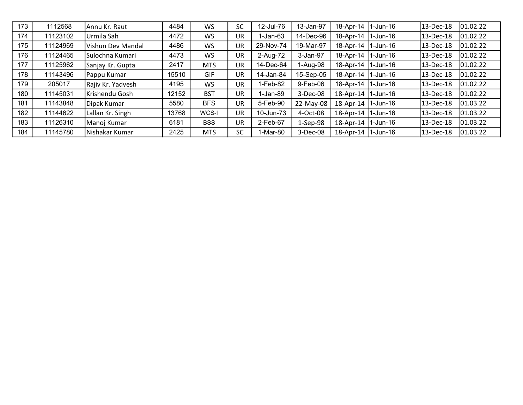| 173 | 1112568  | Annu Kr. Raut     | 4484  | WS         | <b>SC</b> | 12-Jul-76 | 13-Jan-97  | 18-Apr-14            | $1-$ Jun-16   | 13-Dec-18 | 01.02.22 |
|-----|----------|-------------------|-------|------------|-----------|-----------|------------|----------------------|---------------|-----------|----------|
| 174 | 11123102 | Urmila Sah        | 4472  | WS         | UR        | 1-Jan-63  | 14-Dec-96  | 18-Apr-14            | 1-Jun-16      | 13-Dec-18 | 01.02.22 |
| 175 | 11124969 | Vishun Dev Mandal | 4486  | WS         | UR        | 29-Nov-74 | 19-Mar-97  | 18-Apr-14            | 11-Jun-16     | 13-Dec-18 | 01.02.22 |
| 176 | 11124465 | Sulochna Kumari   | 4473  | WS.        | UR        | 2-Aug-72  | 3-Jan-97   | 18-Apr-14            | 1-Jun-16      | 13-Dec-18 | 01.02.22 |
| 177 | 11125962 | Sanjay Kr. Gupta  | 2417  | <b>MTS</b> | UR        | 14-Dec-64 | I-Aug-98   | 18-Apr-14            | 1-Jun-16      | 13-Dec-18 | 01.02.22 |
| 178 | 11143496 | Pappu Kumar       | 15510 | <b>GIF</b> | UR        | 14-Jan-84 | 15-Sep-05  | 18-Apr-14            | 1-Jun-16      | 13-Dec-18 | 01.02.22 |
| 179 | 205017   | Rajiv Kr. Yadvesh | 4195  | WS         | UR        | 1-Feb-82  | 9-Feb-06   | 18-Apr-14            | $1-$ Jun-16   | 13-Dec-18 | 01.02.22 |
| 180 | 11145031 | Krishendu Gosh    | 12152 | <b>BST</b> | UR        | 1-Jan-89  | 3-Dec-08   | 18-Apr-14 1-Jun-16   |               | 13-Dec-18 | 01.02.22 |
| 181 | 11143848 | Dipak Kumar       | 5580  | <b>BFS</b> | UR        | 5-Feb-90  | 22-May-08  | 18-Apr-14 1-Jun-16   |               | 13-Dec-18 | 01.03.22 |
| 182 | 11144622 | Lallan Kr. Singh  | 13768 | WCS-I      | UR        | 10-Jun-73 | 4-Oct-08   | 18-Apr-14            | $ 1 -$ Jun-16 | 13-Dec-18 | 01.03.22 |
| 183 | 11126310 | Manoj Kumar       | 6181  | <b>BSS</b> | UR        | 2-Feb-67  | $1-Sep-98$ | 18-Apr-14   1-Jun-16 |               | 13-Dec-18 | 01.03.22 |
| 184 | 11145780 | Nishakar Kumar    | 2425  | <b>MTS</b> | <b>SC</b> | 1-Mar-80  | 3-Dec-08   | 18-Apr-14            | 11-Jun-16     | 13-Dec-18 | 01.03.22 |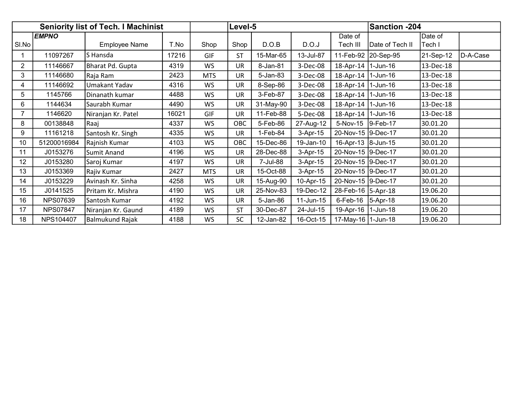|                | <b>Seniority list of Tech. I Machinist</b> |                        |       |            | Level-5   |           |              |                      | <b>Sanction -204</b> |                   |          |
|----------------|--------------------------------------------|------------------------|-------|------------|-----------|-----------|--------------|----------------------|----------------------|-------------------|----------|
| SI.No          | <b>EMPNO</b>                               | <b>Employee Name</b>   | T.No  | Shop       | Shop      | D.O.B     | D.O.J        | Date of<br>Tech III  | Date of Tech II      | Date of<br>Tech I |          |
|                | 11097267                                   | S Hansda               | 17216 | GIF        | <b>ST</b> | 15-Mar-65 | 13-Jul-87    |                      | 11-Feb-92 20-Sep-95  | 21-Sep-12         | D-A-Case |
| $\overline{2}$ | 11146667                                   | Bharat Pd. Gupta       | 4319  | WS         | <b>UR</b> | 8-Jan-81  | 3-Dec-08     | $18$ -Apr-14         | $1$ -Jun-16          | 13-Dec-18         |          |
| 3              | 11146680                                   | Raja Ram               | 2423  | <b>MTS</b> | UR        | 5-Jan-83  | 3-Dec-08     | $18$ -Apr-14         | $1$ -Jun-16          | 13-Dec-18         |          |
| 4              | 11146692                                   | Umakant Yadav          | 4316  | WS.        | UR        | 8-Sep-86  | 3-Dec-08     | 18-Apr-14            | 1-Jun-16             | 13-Dec-18         |          |
| 5              | 1145766                                    | Dinanath kumar         | 4488  | WS         | UR        | 3-Feb-87  | 3-Dec-08     | $18$ -Apr-14         | $1$ -Jun-16          | 13-Dec-18         |          |
| 6              | 1144634                                    | Saurabh Kumar          | 4490  | <b>WS</b>  | UR        | 31-May-90 | 3-Dec-08     | 18-Apr-14            | $1$ -Jun-16          | 13-Dec-18         |          |
| $\overline{7}$ | 1146620                                    | Niranjan Kr. Patel     | 16021 | GIF        | <b>UR</b> | 11-Feb-88 | 5-Dec-08     | $18$ -Apr-14         | $1$ -Jun-16          | 13-Dec-18         |          |
| 8              | 00138848                                   | Raaj                   | 4337  | WS         | OBC       | 5-Feb-86  | 27-Aug-12    | 5-Nov-15 9-Feb-17    |                      | 30.01.20          |          |
| 9              | 11161218                                   | Santosh Kr. Singh      | 4335  | <b>WS</b>  | UR        | 1-Feb-84  | 3-Apr-15     | 20-Nov-15 9-Dec-17   |                      | 30.01.20          |          |
| 10             | 51200016984                                | Rajnish Kumar          | 4103  | WS         | OBC       | 15-Dec-86 | 19-Jan-10    | 16-Apr-13 8-Jun-15   |                      | 30.01.20          |          |
| 11             | J0153276                                   | Sumit Anand            | 4196  | WS         | UR        | 28-Dec-88 | 3-Apr-15     | 20-Nov-15 9-Dec-17   |                      | 30.01.20          |          |
| 12             | J0153280                                   | Saroj Kumar            | 4197  | <b>WS</b>  | <b>UR</b> | 7-Jul-88  | 3-Apr-15     | 20-Nov-15 9-Dec-17   |                      | 30.01.20          |          |
| 13             | J0153369                                   | Rajiv Kumar            | 2427  | <b>MTS</b> | UR        | 15-Oct-88 | 3-Apr-15     | 20-Nov-15 9-Dec-17   |                      | 30.01.20          |          |
| 14             | J0153229                                   | Avinash Kr. Sinha      | 4258  | <b>WS</b>  | UR        | 15-Aug-90 | 10-Apr-15    | 20-Nov-15 9-Dec-17   |                      | 30.01.20          |          |
| 15             | J0141525                                   | Pritam Kr. Mishra      | 4190  | WS         | UR        | 25-Nov-83 | 19-Dec-12    | 28-Feb-16 5-Apr-18   |                      | 19.06.20          |          |
| 16             | <b>NPS07639</b>                            | Santosh Kumar          | 4192  | <b>WS</b>  | <b>UR</b> | 5-Jan-86  | $11$ -Jun-15 | 6-Feb-16 5-Apr-18    |                      | 19.06.20          |          |
| 17             | <b>NPS07847</b>                            | Niranjan Kr. Gaund     | 4189  | WS         | <b>ST</b> | 30-Dec-87 | 24-Jul-15    | 19-Apr-16            | 1-Jun-18             | 19.06.20          |          |
| 18             | NPS104407                                  | <b>Balmukund Rajak</b> | 4188  | WS         | <b>SC</b> | 12-Jan-82 | 16-Oct-15    | 17-May-16   1-Jun-18 |                      | 19.06.20          |          |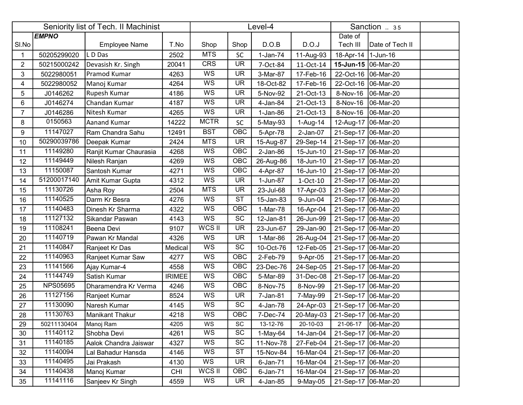|                | Seniority list of Tech. II Machinist<br><b>EMPNO</b> |                        |               | Level-4     |            |             |             |                       | Sanction  35    |  |
|----------------|------------------------------------------------------|------------------------|---------------|-------------|------------|-------------|-------------|-----------------------|-----------------|--|
|                |                                                      |                        |               |             |            |             |             | Date of               |                 |  |
| SI.No          |                                                      | <b>Employee Name</b>   | T.No          | Shop        | Shop       | D.O.B       | D.O.J       | Tech III              | Date of Tech II |  |
| $\mathbf 1$    | 50205299020                                          | L D Das                | 2502          | <b>MTS</b>  | <b>SC</b>  | $1-Jan-74$  | 11-Aug-93   | 18-Apr-14   1-Jun-16  |                 |  |
| $\overline{2}$ | 50215000242                                          | Devasish Kr. Singh     | 20041         | <b>CRS</b>  | <b>UR</b>  | 7-Oct-84    | 11-Oct-14   | 15-Jun-15   06-Mar-20 |                 |  |
| 3              | 5022980051                                           | Pramod Kumar           | 4263          | WS          | <b>UR</b>  | 3-Mar-87    | 17-Feb-16   | 22-Oct-16             | 06-Mar-20       |  |
| 4              | 5022980052                                           | Manoj Kumar            | 4264          | WS          | <b>UR</b>  | 18-Oct-82   | 17-Feb-16   | 22-Oct-16             | 06-Mar-20       |  |
| 5              | J0146262                                             | Rupesh Kumar           | 4186          | WS          | <b>UR</b>  | 5-Nov-92    | 21-Oct-13   | 8-Nov-16              | 06-Mar-20       |  |
| 6              | J0146274                                             | Chandan Kumar          | 4187          | WS          | <b>UR</b>  | 4-Jan-84    | 21-Oct-13   | 8-Nov-16              | 06-Mar-20       |  |
| $\overline{7}$ | J0146286                                             | Nitesh Kumar           | 4265          | <b>WS</b>   | <b>UR</b>  | $1-Jan-86$  | 21-Oct-13   | 8-Nov-16              | 06-Mar-20       |  |
| 8              | 0150563                                              | Aanand Kumar           | 14222         | <b>MCTR</b> | SC         | 5-May-93    | 1-Aug-14    | 12-Aug-17   06-Mar-20 |                 |  |
| 9              | 11147027                                             | Ram Chandra Sahu       | 12491         | <b>BST</b>  | <b>OBC</b> | 5-Apr-78    | $2$ -Jan-07 | 21-Sep-17 06-Mar-20   |                 |  |
| 10             | 50290039786                                          | Deepak Kumar           | 2424          | <b>MTS</b>  | <b>UR</b>  | 15-Aug-87   | 29-Sep-14   | 21-Sep-17 06-Mar-20   |                 |  |
| 11             | 11149280                                             | Ranjit Kumar Chaurasia | 4268          | <b>WS</b>   | OBC        | $2$ -Jan-86 | 15-Jun-10   | 21-Sep-17 06-Mar-20   |                 |  |
| 12             | 11149449                                             | Nilesh Ranjan          | 4269          | WS          | OBC        | 26-Aug-86   | 18-Jun-10   | 21-Sep-17 06-Mar-20   |                 |  |
| 13             | 11150087                                             | Santosh Kumar          | 4271          | WS          | OBC        | 4-Apr-87    | 16-Jun-10   | 21-Sep-17 06-Mar-20   |                 |  |
| 14             | 51200017140                                          | Amit Kumar Gupta       | 4312          | WS          | <b>UR</b>  | 1-Jun-87    | 1-Oct-10    | 21-Sep-17 06-Mar-20   |                 |  |
| 15             | 11130726                                             | Asha Roy               | 2504          | <b>MTS</b>  | <b>UR</b>  | 23-Jul-68   | 17-Apr-03   | 21-Sep-17 06-Mar-20   |                 |  |
| 16             | 11140525                                             | Darm Kr Besra          | 4276          | <b>WS</b>   | <b>ST</b>  | 15-Jan-83   | 9-Jun-04    | 21-Sep-17 06-Mar-20   |                 |  |
| 17             | 11140483                                             | Dinesh Kr Sharma       | 4322          | WS          | <b>OBC</b> | 1-Mar-78    | 16-Apr-04   | 21-Sep-17 06-Mar-20   |                 |  |
| 18             | 11127132                                             | Sikandar Paswan        | 4143          | <b>WS</b>   | <b>SC</b>  | 12-Jan-81   | 26-Jun-99   | 21-Sep-17 06-Mar-20   |                 |  |
| 19             | 11108241                                             | Beena Devi             | 9107          | WCS II      | <b>UR</b>  | 23-Jun-67   | 29-Jan-90   | 21-Sep-17 06-Mar-20   |                 |  |
| 20             | 11140719                                             | Pawan Kr Mandal        | 4326          | WS          | <b>UR</b>  | 1-Mar-86    | 26-Aug-04   | 21-Sep-17 06-Mar-20   |                 |  |
| 21             | 11140847                                             | Ranjeet Kr Das         | Medical       | WS          | <b>SC</b>  | 10-Oct-76   | 12-Feb-05   | 21-Sep-17 06-Mar-20   |                 |  |
| 22             | 11140963                                             | Ranjeet Kumar Saw      | 4277          | WS          | OBC        | 2-Feb-79    | 9-Apr-05    | 21-Sep-17 06-Mar-20   |                 |  |
| 23             | 11141566                                             | Ajay Kumar-4           | 4558          | WS          | OBC        | 23-Dec-76   | 24-Sep-05   | 21-Sep-17   06-Mar-20 |                 |  |
| 24             | 11144749                                             | Satish Kumar           | <b>IRIMEE</b> | WS          | OBC        | 5-Mar-89    | 31-Dec-08   | 21-Sep-17 06-Mar-20   |                 |  |
| 25             | <b>NPS05695</b>                                      | Dharamendra Kr Verma   | 4246          | WS          | OBC        | 8-Nov-75    | 8-Nov-99    | 21-Sep-17 06-Mar-20   |                 |  |
| 26             | 11127156                                             | Ranjeet Kumar          | 8524          | WS          | <b>UR</b>  | 7-Jan-81    | 7-May-99    | 21-Sep-17 06-Mar-20   |                 |  |
| 27             | 11130090                                             | Naresh Kumar           | 4145          | WS          | SC         | 4-Jan-78    | 24-Apr-03   | 21-Sep-17 06-Mar-20   |                 |  |
| 28             | 11130763                                             | Manikant Thakur        | 4218          | WS          | OBC        | 7-Dec-74    | 20-May-03   | 21-Sep-17 06-Mar-20   |                 |  |
| 29             | 50211130404                                          | Manoj Ram              | 4205          | WS          | SC         | 13-12-76    | 20-10-03    | 21-06-17              | 06-Mar-20       |  |
| 30             | 11140112                                             | Shobha Devi            | 4261          | WS          | SC         | 1-May-64    | 14-Jan-04   | 21-Sep-17 06-Mar-20   |                 |  |
| 31             | 11140185                                             | Aalok Chandra Jaiswar  | 4327          | WS          | SC         | 11-Nov-78   | 27-Feb-04   | 21-Sep-17 06-Mar-20   |                 |  |
| 32             | 11140094                                             | Lal Bahadur Hansda     | 4146          | WS          | <b>ST</b>  | 15-Nov-84   | 16-Mar-04   | 21-Sep-17 06-Mar-20   |                 |  |
| 33             | 11140495                                             | Jai Prakash            | 4130          | WS          | <b>UR</b>  | $6$ -Jan-71 | 16-Mar-04   | 21-Sep-17 06-Mar-20   |                 |  |
| 34             | 11140438                                             | Manoj Kumar            | <b>CHI</b>    | WCS II      | OBC        | 6-Jan-71    | 16-Mar-04   | 21-Sep-17 06-Mar-20   |                 |  |
| 35             | 11141116                                             | Sanjeev Kr Singh       | 4559          | WS          | <b>UR</b>  | 4-Jan-85    | 9-May-05    | 21-Sep-17 06-Mar-20   |                 |  |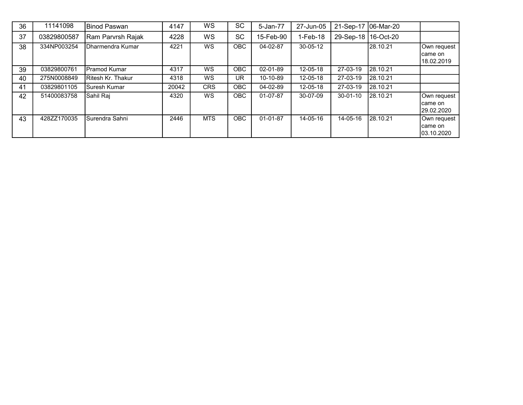| 36 | 11141098    | <b>IBinod Paswan</b>       | 4147  | WS         | <b>SC</b>  | 5-Jan-77       | 27-Jun-05      |                       | 21-Sep-17   06-Mar-20 |                                        |
|----|-------------|----------------------------|-------|------------|------------|----------------|----------------|-----------------------|-----------------------|----------------------------------------|
| 37 | 03829800587 | Ram Parvrsh Rajak          | 4228  | WS         | <b>SC</b>  | 15-Feb-90      | $1-Feb-18$     | 29-Sep-18   16-Oct-20 |                       |                                        |
| 38 | 334NP003254 | Dharmendra Kumar           | 4221  | <b>WS</b>  | OBC        | 04-02-87       | $30 - 05 - 12$ |                       | 28.10.21              | Own request<br>Icame on<br>18.02.2019  |
| 39 | 03829800761 | lPramod Kumar              | 4317  | WS.        | <b>OBC</b> | 02-01-89       | 12-05-18       | 27-03-19              | 28.10.21              |                                        |
| 40 | 275N0008849 | <b>I</b> Ritesh Kr. Thakur | 4318  | WS         | UR         | 10-10-89       | 12-05-18       | 27-03-19              | 28.10.21              |                                        |
| 41 | 03829801105 | ISuresh Kumar              | 20042 | <b>CRS</b> | OBC        | 04-02-89       | 12-05-18       | 27-03-19              | 28.10.21              |                                        |
| 42 | 51400083758 | lSahil Rai                 | 4320  | <b>WS</b>  | <b>OBC</b> | $01-07-87$     | 30-07-09       | $30 - 01 - 10$        | 28.10.21              | Own request<br>came on<br>129.02.2020  |
| 43 | 428ZZ170035 | ISurendra Sahni            | 2446  | <b>MTS</b> | <b>OBC</b> | $01 - 01 - 87$ | 14-05-16       | 14-05-16              | 28.10.21              | Own request<br>Icame on<br>103.10.2020 |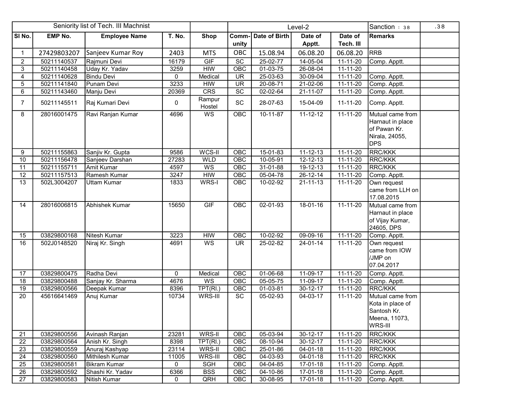|                 |                | Seniority list of Tech. III Machnist |              | Level-2          |                 |                | Sanction : 38  | .38            |                                                                                      |  |
|-----------------|----------------|--------------------------------------|--------------|------------------|-----------------|----------------|----------------|----------------|--------------------------------------------------------------------------------------|--|
| SI No.          | <b>EMP No.</b> | <b>Employee Name</b>                 | T. No.       | <b>Shop</b>      | Comm-           | Date of Birth  | Date of        | Date of        | <b>Remarks</b>                                                                       |  |
|                 |                |                                      |              |                  | unity           |                | Apptt.         | Tech. III      |                                                                                      |  |
| $\mathbf{1}$    | 27429803207    | Sanjeev Kumar Roy                    | 2403         | <b>MTS</b>       | OBC             | 15.08.94       | 06.08.20       | 06.08.20       | <b>RRB</b>                                                                           |  |
| $\overline{a}$  | 50211140537    | Rajmuni Devi                         | 16179        | GIF              | $\overline{SC}$ | 25-02-77       | 14-05-04       | 11-11-20       | Comp. Apptt.                                                                         |  |
| 3               | 50211140458    | Uday Kr. Yadav                       | 3259         | <b>HIW</b>       | OBC             | $01-03-75$     | 26-08-04       | 11-11-20       |                                                                                      |  |
| 4               | 50211140628    | <b>Bindu Devi</b>                    | 0            | Medical          | <b>UR</b>       | 25-03-63       | 30-09-04       | $11 - 11 - 20$ | Comp. Apptt.                                                                         |  |
| 5               | 50211141840    | Punam Devi                           | 3233         | <b>HIW</b>       | <b>UR</b>       | 20-08-71       | 21-02-06       | 11-11-20       | Comp. Apptt.                                                                         |  |
| 6               | 50211143460    | Manju Devi                           | 20369        | CRS              | $\overline{SC}$ | 02-02-64       | 21-11-07       | $11 - 11 - 20$ | Comp. Apptt.                                                                         |  |
| $\overline{7}$  | 50211145511    | Raj Kumari Devi                      | 0            | Rampur<br>Hostel | SC              | 28-07-63       | 15-04-09       | 11-11-20       | Comp. Apptt.                                                                         |  |
| 8               | 28016001475    | Ravi Ranjan Kumar                    | 4696         | WS               | OBC             | $10 - 11 - 87$ | $11 - 12 - 12$ | $11 - 11 - 20$ | Mutual came from<br>Harnaut in place<br>of Pawan Kr.<br>Nirala, 24055,<br><b>DPS</b> |  |
| 9               | 50211155863    | Sanjiv Kr. Gupta                     | 9586         | WCS-II           | OBC             | 15-01-83       | $11 - 12 - 13$ | 11-11-20       | <b>RRC/KKK</b>                                                                       |  |
| 10              | 50211156478    | Sanjeev Darshan                      | 27283        | <b>WLD</b>       | OBC             | $10 - 05 - 91$ | $12 - 12 - 13$ | 11-11-20       | <b>RRC/KKK</b>                                                                       |  |
| 11              | 50211155711    | Amit Kumar                           | 4597         | WS               | OBC             | 31-01-88       | 19-12-13       | $11 - 11 - 20$ | <b>RRC/KKK</b>                                                                       |  |
| 12              | 50211157513    | Ramesh Kumar                         | 3247         | H <sub>W</sub>   | OBC             | 05-04-78       | $26 - 12 - 14$ | 11-11-20       | Comp. Apptt.                                                                         |  |
| $\overline{13}$ | 502L3004207    | <b>Uttam Kumar</b>                   | 1833         | WRS-I            | OBC             | 10-02-92       | $21 - 11 - 13$ | 11-11-20       | Own request<br>came from LLH on<br>17.08.2015                                        |  |
| 14              | 28016006815    | Abhishek Kumar                       | 15650        | GIF              | OBC             | 02-01-93       | 18-01-16       | $11 - 11 - 20$ | Mutual came from<br>Harnaut in place<br>of Vijay Kumar,<br>24605, DPS                |  |
| 15              | 03829800168    | Nitesh Kumar                         | 3223         | <b>HIW</b>       | OBC             | 10-02-92       | 09-09-16       | 11-11-20       | Comp. Apptt.                                                                         |  |
| 16              | 502J0148520    | Niraj Kr. Singh                      | 4691         | WS               | UR.             | 25-02-82       | 24-01-14       | 11-11-20       | Own request<br>came from IOW<br>/JMP on<br>07.04.2017                                |  |
| 17              | 03829800475    | Radha Devi                           | $\mathbf{0}$ | Medical          | OBC             | 01-06-68       | 11-09-17       | 11-11-20       | Comp. Apptt.                                                                         |  |
| $\overline{18}$ | 03829800488    | Sanjay Kr. Sharma                    | 4676         | WS               | OBC             | 05-05-75       | 11-09-17       | 11-11-20       | Comp. Apptt.                                                                         |  |
| $\overline{19}$ | 03829800566    | Deepak Kumar                         | 8396         | TPT(RI.)         | OBC             | 01-03-81       | 30-12-17       | $11 - 11 - 20$ | <b>RRC/KKK</b>                                                                       |  |
| 20              | 45616641469    | Anuj Kumar                           | 10734        | WRS-III          | SC              | 05-02-93       | 04-03-17       | 11-11-20       | Mutual came from<br>Kota in place of<br>Santosh Kr.<br>Meena, 11073,<br>WRS-III      |  |
| 21              | 03829800556    | Avinash Ranjan                       | 23281        | WRS-II           | OBC             | 05-03-94       | 30-12-17       | 11-11-20       | <b>RRC/KKK</b>                                                                       |  |
| 22              | 03829800564    | Anish Kr. Singh                      | 8398         | TPT(RI.)         | OBC             | 08-10-94       | 30-12-17       | 11-11-20       | <b>RRC/KKK</b>                                                                       |  |
| 23              | 03829800559    | Anuraj Kashyap                       | 23114        | WRS-II           | OBC             | 25-01-86       | 04-01-18       | 11-11-20       | RRC/KKK                                                                              |  |
| 24              | 03829800560    | Mithilesh Kumar                      | 11005        | WRS-III          | <b>OBC</b>      | 04-03-93       | 04-01-18       | 11-11-20       | RRC/KKK                                                                              |  |
| 25              | 03829800581    | Bikram Kumar                         | 0            | SGH              | OBC             | 04-04-85       | 17-01-18       | 11-11-20       | Comp. Apptt.                                                                         |  |
| 26              | 03829800592    | Shashi Kr. Yadav                     | 6366         | <b>BSS</b>       | OBC             | 04-10-86       | 17-01-18       | 11-11-20       | Comp. Apptt.                                                                         |  |
| 27              | 03829800583    | Nitish Kumar                         | 0            | QRH              | OBC             | 30-08-95       | 17-01-18       | 11-11-20       | Comp. Apptt.                                                                         |  |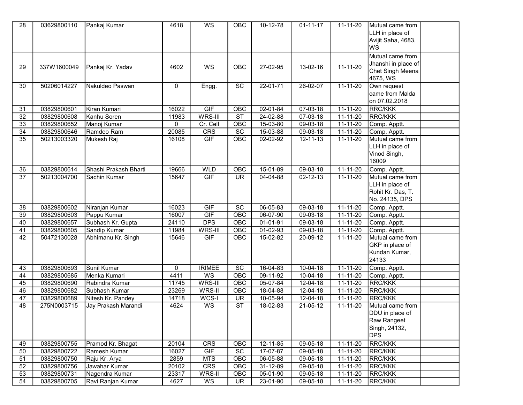| 28              | 03629800110 | Pankaj Kumar          | 4618        | WS            | OBC                    | 10-12-78       | $01 - 11 - 17$ | $11 - 11 - 20$ | Mutual came from    |  |
|-----------------|-------------|-----------------------|-------------|---------------|------------------------|----------------|----------------|----------------|---------------------|--|
|                 |             |                       |             |               |                        |                |                |                | LLH in place of     |  |
|                 |             |                       |             |               |                        |                |                |                | Avijit Saha, 4683,  |  |
|                 |             |                       |             |               |                        |                |                |                | lws                 |  |
|                 |             |                       |             |               |                        |                |                |                | Mutual came from    |  |
|                 |             |                       |             |               |                        |                |                |                | Jhanshi in place of |  |
| 29              | 337W1600049 | Pankaj Kr. Yadav      | 4602        | WS            | <b>OBC</b>             | 27-02-95       | 13-02-16       | $11 - 11 - 20$ | Chet Singh Meena    |  |
|                 |             |                       |             |               |                        |                |                |                | 4675, WS            |  |
| 30              | 50206014227 | Nakuldeo Paswan       | 0           | Engg.         | SC                     | 22-01-71       | $26 - 02 - 07$ | $11 - 11 - 20$ | Own request         |  |
|                 |             |                       |             |               |                        |                |                |                | came from Malda     |  |
|                 |             |                       |             |               |                        |                |                |                | on 07.02.2018       |  |
| 31              | 03829800601 | Kiran Kumari          | 16022       | GIF           | OBC                    | 02-01-84       | $07 - 03 - 18$ | 11-11-20       | <b>RRC/KKK</b>      |  |
| 32              | 03829800608 | Kanhu Soren           | 11983       | WRS-III       | ST                     | 24-02-88       | 07-03-18       | $11 - 11 - 20$ | <b>RRC/KKK</b>      |  |
| 33              | 03829800652 | Manoj Kumar           | $\mathbf 0$ | Cr. Cell      | OBC                    | 15-03-80       | 09-03-18       | 11-11-20       | Comp. Apptt.        |  |
| 34              | 03829800646 | Ramdeo Ram            | 20085       | CRS           | SC                     | 15-03-88       | 09-03-18       | 11-11-20       | Comp. Apptt.        |  |
| $\overline{35}$ | 50213003320 | Mukesh Raj            | 16108       | GIF           | OBC                    | 02-02-92       | 12-11-13       | $11 - 11 - 20$ | Mutual came from    |  |
|                 |             |                       |             |               |                        |                |                |                | LLH in place of     |  |
|                 |             |                       |             |               |                        |                |                |                | Vinod Singh,        |  |
|                 |             |                       |             |               |                        |                |                |                | 16009               |  |
| 36              | 03829800614 | Shashi Prakash Bharti | 19666       | <b>WLD</b>    | OBC                    | $15 - 01 - 89$ | 09-03-18       | $11 - 11 - 20$ | Comp. Apptt.        |  |
| $\overline{37}$ | 50213004700 | Sachin Kumar          | 15647       | GIF           | <b>UR</b>              | 04-04-88       | 02-12-13       | $11 - 11 - 20$ | Mutual came from    |  |
|                 |             |                       |             |               |                        |                |                |                | LLH in place of     |  |
|                 |             |                       |             |               |                        |                |                |                | Rohit Kr. Das, T.   |  |
|                 |             |                       |             |               |                        |                |                |                | No. 24135, DPS      |  |
| 38              | 03829800602 | Niranjan Kumar        | 16023       | <b>GIF</b>    | $\overline{SC}$        | $06 - 05 - 83$ | $09 - 03 - 18$ | $11 - 11 - 20$ | Comp. Apptt.        |  |
| 39              | 03829800603 | Pappu Kumar           | 16007       | GIF           | OBC                    | 06-07-90       | 09-03-18       | $11 - 11 - 20$ | Comp. Apptt.        |  |
| 40              | 03829800657 | Subhash Kr. Gupta     | 24110       | <b>DPS</b>    | OBC                    | $01 - 01 - 91$ | $09-03-18$     | $11 - 11 - 20$ | Comp. Apptt.        |  |
| 41              | 03829800605 | Sandip Kumar          | 11984       | WRS-III       | OBC                    | $01-02-93$     | $09-03-18$     | $11 - 11 - 20$ | Comp. Apptt.        |  |
| 42              | 50472130028 | Abhimanu Kr. Singh    | 15646       | GIF           | OBC                    | 15-02-82       | 20-09-12       | $11 - 11 - 20$ | Mutual came from    |  |
|                 |             |                       |             |               |                        |                |                |                | GKP in place of     |  |
|                 |             |                       |             |               |                        |                |                |                | Kundan Kumar,       |  |
|                 |             |                       |             |               |                        |                |                |                | 24133               |  |
| 43              | 03829800693 | Sunil Kumar           | $\mathbf 0$ | <b>IRIMEE</b> | <b>SC</b>              | $16-04-83$     | $10-04-18$     | $11 - 11 - 20$ | Comp. Apptt.        |  |
| 44              | 03829800685 | Menka Kumari          | 4411        | WS            | OBC                    | 09-11-92       | 10-04-18       | 11-11-20       | Comp. Apptt.        |  |
| $\overline{45}$ | 03829800690 | Rabindra Kumar        | 11745       | WRS-III       | OBC                    | 05-07-84       | $12 - 04 - 18$ | $11 - 11 - 20$ | <b>RRC/KKK</b>      |  |
| 46              | 03829800682 | Subhash Kumar         | 23269       | WRS-II        | OBC                    | 18-04-88       | $12 - 04 - 18$ | $11 - 11 - 20$ | <b>RRC/KKK</b>      |  |
| $\overline{47}$ | 03829800689 | Nitesh Kr. Pandey     | 14718       | WCS-I         | <b>UR</b>              | 10-05-94       | 12-04-18       | $11 - 11 - 20$ | <b>RRC/KKK</b>      |  |
| 48              | 275N0003715 | Jay Prakash Marandi   | 4624        | WS            | $\overline{\text{ST}}$ | 18-02-83       | 21-05-12       | $11 - 11 - 20$ | Mutual came from    |  |
|                 |             |                       |             |               |                        |                |                |                | DDU in place of     |  |
|                 |             |                       |             |               |                        |                |                |                | Raw Rangeet         |  |
|                 |             |                       |             |               |                        |                |                |                | Singh, 24132,       |  |
|                 |             |                       |             |               |                        |                |                |                | <b>DPS</b>          |  |
| 49              | 03829800755 | Pramod Kr. Bhagat     | 20104       | CRS           | <b>OBC</b>             | 12-11-85       | 09-05-18       | $11 - 11 - 20$ | <b>RRC/KKK</b>      |  |
| 50              | 03829800722 | Ramesh Kumar          | 16027       | GIF           | SC                     | 17-07-87       | 09-05-18       | $11 - 11 - 20$ | <b>RRC/KKK</b>      |  |
| 51              | 03829800750 | Raju Kr. Arya         | 2859        | <b>MTS</b>    | <b>OBC</b>             | 06-05-88       | 09-05-18       | $11 - 11 - 20$ | <b>RRC/KKK</b>      |  |
| 52              | 03829800756 | Jawahar Kumar         | 20102       | <b>CRS</b>    | OBC                    | 31-12-89       | 09-05-18       | 11-11-20       | <b>RRC/KKK</b>      |  |
| 53              | 03829800731 |                       | 23317       | WRS-II        | OBC                    |                | 09-05-18       | 11-11-20       | <b>RRC/KKK</b>      |  |
|                 |             | Nagendra Kumar        |             |               |                        | 05-01-90       |                |                |                     |  |
| 54              | 03829800705 | Ravi Ranjan Kumar     | 4627        | WS            | <b>UR</b>              | 23-01-90       | 09-05-18       | 11-11-20       | <b>RRC/KKK</b>      |  |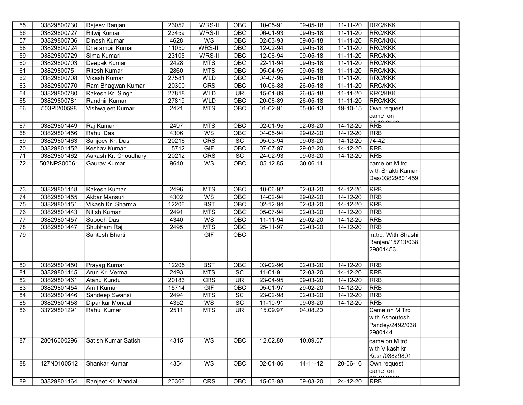| 55              | 03829800730 | Rajeev Ranjan          | 23052 | WRS-II          | <b>OBC</b>               | 10-05-91       | 09-05-18       | 11-11-20       | <b>RRC/KKK</b>     |  |
|-----------------|-------------|------------------------|-------|-----------------|--------------------------|----------------|----------------|----------------|--------------------|--|
| 56              | 03829800727 | <b>Ritwij Kumar</b>    | 23459 | WRS-II          | OBC                      | $06 - 01 - 93$ | $09 - 05 - 18$ | $11 - 11 - 20$ | <b>RRC/KKK</b>     |  |
| 57              | 03829800706 | Dinesh Kumar           | 4628  | WS              | OBC                      | 02-03-93       | $09 - 05 - 18$ | 11-11-20       | <b>RRC/KKK</b>     |  |
| 58              | 03829800724 | <b>Dharambir Kumar</b> | 11050 | WRS-III         | OBC                      | 12-02-94       | 09-05-18       | $11 - 11 - 20$ | <b>RRC/KKK</b>     |  |
| 59              | 03829800729 | Sima Kumari            | 23105 | WRS-II          | OBC                      | 12-06-94       | 09-05-18       | 11-11-20       | <b>RRC/KKK</b>     |  |
| 60              | 03829800703 | Deepak Kumar           | 2428  | <b>MTS</b>      | OBC                      | 22-11-94       | 09-05-18       | 11-11-20       | <b>RRC/KKK</b>     |  |
| 61              | 03829800751 | <b>Ritesh Kumar</b>    | 2860  | <b>MTS</b>      | OBC                      | 05-04-95       | 09-05-18       | $11 - 11 - 20$ | <b>RRC/KKK</b>     |  |
| 62              | 03829800708 | Vikash Kumar           | 27581 | <b>WLD</b>      | OBC                      | $04-07-95$     | 09-05-18       | 11-11-20       | <b>RRC/KKK</b>     |  |
| 63              | 03829800770 | Ram Bhagwan Kumar      | 20300 | CRS             | OBC                      | 10-06-88       | $26 - 05 - 18$ | $11 - 11 - 20$ | <b>RRC/KKK</b>     |  |
| 64              | 03829800780 | Rakesh Kr. Singh       | 27818 | WLD             | <b>UR</b>                | 15-01-89       | 26-05-18       | 11-11-20       | RRC/KKK            |  |
| 65              | 03829800781 | Randhir Kumar          | 27819 | WLD             | OBC                      | 20-06-89       | 26-05-18       | 11-11-20       | RRC/KKK            |  |
| 66              | 503PI200598 | Vishwajeet Kumar       | 2421  | <b>MTS</b>      | <b>OBC</b>               | $01 - 02 - 91$ | $05 - 06 - 13$ | $19-10-15$     | Own request        |  |
|                 |             |                        |       |                 |                          |                |                |                | came on            |  |
| 67              | 03829801449 | Raj Kumar              | 2497  | <b>MTS</b>      | OBC                      | 02-01-95       | 02-03-20       | $14 - 12 - 20$ | <b>RRB</b>         |  |
| 68              | 03829801456 | Rahul Das              | 4306  | W <sub>S</sub>  | OBC                      | $04 - 05 - 94$ | 29-02-20       | 14-12-20       | <b>RRB</b>         |  |
| 69              | 03829801463 | Sanjeev Kr. Das        | 20216 | CRS             | SC                       | 05-03-94       | 09-03-20       | 14-12-20       | $74-42$            |  |
| $\overline{70}$ | 03829801452 | Keshav Kumar           | 15712 | GIF             | OBC                      | 07-07-97       | 29-02-20       | 14-12-20       | <b>RRB</b>         |  |
| 71              | 03829801462 | Aakash Kr. Choudhary   | 20212 | <b>CRS</b>      | $\overline{SC}$          | $24 - 02 - 93$ | 09-03-20       | $14 - 12 - 20$ | <b>RRB</b>         |  |
| 72              | 502NPS00061 | Gaurav Kumar           | 9640  | WS              | <b>OBC</b>               | 05.12.85       | 30.06.14       |                | came on M.trd      |  |
|                 |             |                        |       |                 |                          |                |                |                | with Shakti Kumar  |  |
|                 |             |                        |       |                 |                          |                |                |                | Das/03829801459    |  |
|                 |             |                        |       |                 |                          |                |                |                |                    |  |
| 73              | 03829801448 | Rakesh Kumar           | 2496  | <b>MTS</b>      | OBC                      | 10-06-92       | 02-03-20       | $14 - 12 - 20$ | <b>RRB</b>         |  |
| $\overline{74}$ | 03829801455 | Akbar Mansuri          | 4302  | W <sub>S</sub>  | <b>OBC</b>               | 14-02-94       | 29-02-20       | 14-12-20       | $R$ R $R$ B        |  |
| 75              | 03829801451 | Vikash Kr. Sharma      | 12206 | <b>BST</b>      | OBC                      | $02 - 12 - 94$ | 02-03-20       | 14-12-20       | <b>RRB</b>         |  |
| $\overline{76}$ | 03829801443 | Nitish Kumar           | 2491  | <b>MTS</b>      | OBC                      | 05-07-94       | 02-03-20       | 14-12-20       | <b>RRB</b>         |  |
| 77              | 03829801457 | Subodh Das             | 4340  | WS              | OBC                      | $11 - 11 - 94$ | 29-02-20       | $14 - 12 - 20$ | <b>RRB</b>         |  |
| 78              | 03829801447 | Shubham Raj            | 2495  | <b>MTS</b>      | OBC                      | 25-11-97       | 02-03-20       | $14 - 12 - 20$ | <b>RRB</b>         |  |
| $\overline{79}$ |             | Santosh Bharti         |       | GIF             | <b>OBC</b>               |                |                |                | m.trd. With Shashi |  |
|                 |             |                        |       |                 |                          |                |                |                | Ranjan/15713/038   |  |
|                 |             |                        |       |                 |                          |                |                |                | 29801453           |  |
|                 |             |                        |       |                 |                          |                |                |                |                    |  |
| 80              | 03829801450 | Prayag Kumar           | 12205 | <b>BST</b>      | OBC                      | $03-02-96$     | $02 - 03 - 20$ | $14 - 12 - 20$ | <b>RRB</b>         |  |
| 81              | 03829801445 | Arun Kr. Verma         | 2493  | <b>MTS</b>      | $\overline{SC}$          | 11-01-91       | 02-03-20       | 14-12-20       | <b>RRB</b>         |  |
| 82              | 03829801461 | Atanu Kundu            | 20183 | <b>CRS</b>      | $\overline{\mathsf{UR}}$ | 23-04-95       | $09 - 03 - 20$ | 14-12-20       | <b>RRB</b>         |  |
| 83              | 03829801454 | Amit Kumar             | 15714 | GIF             | OBC                      | 05-01-97       | 29-02-20       | 14-12-20       | <b>RRB</b>         |  |
| 84              | 03829801446 | Sandeep Swansi         | 2494  | <b>MTS</b>      | SC                       | 23-02-98       | 02-03-20       | 14-12-20       | <b>RRB</b>         |  |
| 85              | 03829801458 | Dipankar Mondal        | 4352  | $\overline{ws}$ | $\overline{SC}$          | $11 - 10 - 91$ | $09 - 03 - 20$ | $14 - 12 - 20$ | <b>RRB</b>         |  |
| 86              | 33729801291 | Rahul Kumar            | 2511  | <b>MTS</b>      | <b>UR</b>                | 15.09.97       | 04.08.20       |                | Came on M.Trd      |  |
|                 |             |                        |       |                 |                          |                |                |                | with Ashoutosh     |  |
|                 |             |                        |       |                 |                          |                |                |                | Pandey/2492/038    |  |
|                 |             |                        |       |                 |                          |                |                |                | 2980144            |  |
| 87              | 28016000296 | Satish Kumar Satish    | 4315  | WS              | OBC                      | 12.02.80       | 10.09.07       |                | came on M.trd      |  |
|                 |             |                        |       |                 |                          |                |                |                | with Vikash kr.    |  |
|                 |             |                        |       |                 |                          |                |                |                | Kesri/03829801     |  |
| 88              | 127N0100512 | Shankar Kumar          | 4354  | WS              | OBC                      | 02-01-86       | $14 - 11 - 12$ | 20-06-16       | Own request        |  |
|                 |             |                        |       |                 |                          |                |                |                | came on<br>ممممحة  |  |
| 89              | 03829801464 | Ranjeet Kr. Mandal     | 20306 | <b>CRS</b>      | OBC                      | 15-03-98       | $09-03-20$     | $24 - 12 - 20$ | <b>RRB</b>         |  |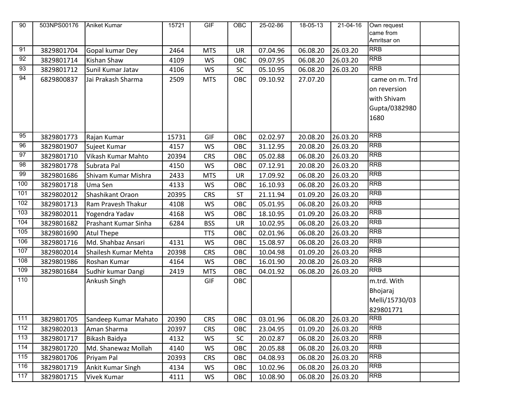| 90              | 503NPS00176 | Aniket Kumar         | 15721 | GIF        | <b>OBC</b> | 25-02-86 | 18-05-13 | 21-04-16 | Own request              |  |
|-----------------|-------------|----------------------|-------|------------|------------|----------|----------|----------|--------------------------|--|
|                 |             |                      |       |            |            |          |          |          | came from<br>Amritsar on |  |
| 91              |             |                      |       |            |            |          |          |          | <b>RRB</b>               |  |
|                 | 3829801704  | Gopal kumar Dey      | 2464  | <b>MTS</b> | UR         | 07.04.96 | 06.08.20 | 26.03.20 | <b>RRB</b>               |  |
| 92              | 3829801714  | Kishan Shaw          | 4109  | <b>WS</b>  | OBC        | 09.07.95 | 06.08.20 | 26.03.20 |                          |  |
| 93              | 3829801712  | Sunil Kumar Jatav    | 4106  | <b>WS</b>  | SC         | 05.10.95 | 06.08.20 | 26.03.20 | <b>RRB</b>               |  |
| 94              | 6829800837  | Jai Prakash Sharma   | 2509  | <b>MTS</b> | OBC        | 09.10.92 | 27.07.20 |          | came on m. Trd           |  |
|                 |             |                      |       |            |            |          |          |          | on reversion             |  |
|                 |             |                      |       |            |            |          |          |          | with Shivam              |  |
|                 |             |                      |       |            |            |          |          |          | Gupta/0382980            |  |
|                 |             |                      |       |            |            |          |          |          | 1680                     |  |
|                 |             |                      |       |            |            |          |          |          |                          |  |
| 95              | 3829801773  | Rajan Kumar          | 15731 | GIF        | OBC        | 02.02.97 | 20.08.20 | 26.03.20 | <b>RRB</b>               |  |
| 96              | 3829801907  | Sujeet Kumar         | 4157  | <b>WS</b>  | OBC        | 31.12.95 | 20.08.20 | 26.03.20 | <b>RRB</b>               |  |
| $\overline{97}$ | 3829801710  | Vikash Kumar Mahto   | 20394 | <b>CRS</b> | OBC        | 05.02.88 | 06.08.20 | 26.03.20 | <b>RRB</b>               |  |
| 98              | 3829801778  | Subrata Pal          | 4150  | <b>WS</b>  | OBC        | 07.12.91 | 20.08.20 | 26.03.20 | <b>RRB</b>               |  |
| 99              | 3829801686  | Shivam Kumar Mishra  | 2433  | <b>MTS</b> | <b>UR</b>  | 17.09.92 | 06.08.20 | 26.03.20 | <b>RRB</b>               |  |
| 100             | 3829801718  | Uma Sen              | 4133  | WS         | OBC        | 16.10.93 | 06.08.20 | 26.03.20 | <b>RRB</b>               |  |
| 101             | 3829802012  | Shashikant Oraon     | 20395 | <b>CRS</b> | <b>ST</b>  | 21.11.94 | 01.09.20 | 26.03.20 | <b>RRB</b>               |  |
| 102             | 3829801713  | Ram Pravesh Thakur   | 4108  | <b>WS</b>  | OBC        | 05.01.95 | 06.08.20 | 26.03.20 | <b>RRB</b>               |  |
| 103             | 3829802011  | Yogendra Yadav       | 4168  | <b>WS</b>  | OBC        | 18.10.95 | 01.09.20 | 26.03.20 | <b>RRB</b>               |  |
| 104             | 3829801682  | Prashant Kumar Sinha | 6284  | <b>BSS</b> | <b>UR</b>  | 10.02.95 | 06.08.20 | 26.03.20 | <b>RRB</b>               |  |
| 105             | 3829801690  | Atul Thepe           |       | <b>TTS</b> | OBC        | 02.01.96 | 06.08.20 | 26.03.20 | <b>RRB</b>               |  |
| 106             | 3829801716  | Md. Shahbaz Ansari   | 4131  | <b>WS</b>  | OBC        | 15.08.97 | 06.08.20 | 26.03.20 | <b>RRB</b>               |  |
| 107             | 3829802014  | Shailesh Kumar Mehta | 20398 | <b>CRS</b> | OBC        | 10.04.98 | 01.09.20 | 26.03.20 | <b>RRB</b>               |  |
| 108             | 3829801986  | Roshan Kumar         | 4164  | <b>WS</b>  | OBC        | 16.01.90 | 20.08.20 | 26.03.20 | <b>RRB</b>               |  |
| 109             | 3829801684  | Sudhir kumar Dangi   | 2419  | <b>MTS</b> | OBC        | 04.01.92 | 06.08.20 | 26.03.20 | $R$ R $B$                |  |
| 110             |             | Ankush Singh         |       | GIF        | OBC        |          |          |          | m.trd. With              |  |
|                 |             |                      |       |            |            |          |          |          | Bhojaraj                 |  |
|                 |             |                      |       |            |            |          |          |          | Melli/15730/03           |  |
|                 |             |                      |       |            |            |          |          |          | 829801771                |  |
| 111             | 3829801705  | Sandeep Kumar Mahato | 20390 | CRS        | OBC        | 03.01.96 | 06.08.20 | 26.03.20 | RRB                      |  |
| 112             | 3829802013  | Aman Sharma          | 20397 | <b>CRS</b> | OBC        | 23.04.95 | 01.09.20 | 26.03.20 | <b>RRB</b>               |  |
| 113             | 3829801717  | Bikash Baidya        | 4132  | <b>WS</b>  | <b>SC</b>  | 20.02.87 | 06.08.20 | 26.03.20 | <b>RRB</b>               |  |
| 114             | 3829801720  | Md. Shanewaz Mollah  | 4140  | WS         | OBC        | 20.05.88 | 06.08.20 | 26.03.20 | <b>RRB</b>               |  |
| 115             | 3829801706  | Priyam Pal           | 20393 | <b>CRS</b> | OBC        | 04.08.93 | 06.08.20 | 26.03.20 | <b>RRB</b>               |  |
| 116             | 3829801719  | Ankit Kumar Singh    | 4134  | WS         | OBC        | 10.02.96 | 06.08.20 | 26.03.20 | <b>RRB</b>               |  |
| 117             | 3829801715  | Vivek Kumar          | 4111  | WS         | OBC        | 10.08.90 | 06.08.20 | 26.03.20 | <b>RRB</b>               |  |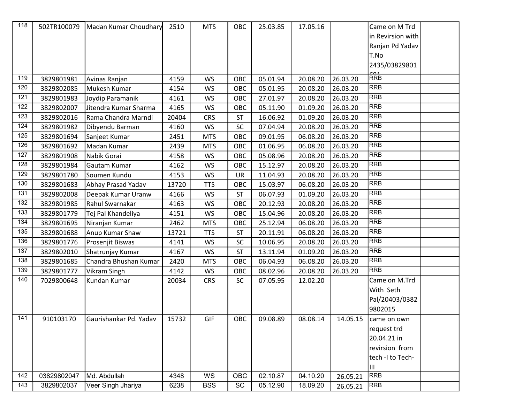| 118              |             | 502TR100079   Madan Kumar Choudhary | 2510  | <b>MTS</b> | OBC       | 25.03.85 | 17.05.16 |          | Came on M Trd<br>in Revirsion with<br>Ranjan Pd Yadav<br>T.No<br>2435/03829801 |  |
|------------------|-------------|-------------------------------------|-------|------------|-----------|----------|----------|----------|--------------------------------------------------------------------------------|--|
| 119              | 3829801981  | Avinas Ranjan                       | 4159  | <b>WS</b>  | OBC       | 05.01.94 | 20.08.20 | 26.03.20 | RRB                                                                            |  |
| 120              | 3829802085  | Mukesh Kumar                        | 4154  | <b>WS</b>  | OBC       | 05.01.95 | 20.08.20 | 26.03.20 | <b>RRB</b>                                                                     |  |
| 121              | 3829801983  | Joydip Paramanik                    | 4161  | <b>WS</b>  | OBC       | 27.01.97 | 20.08.20 | 26.03.20 | <b>RRB</b>                                                                     |  |
| $\overline{122}$ | 3829802007  | Jitendra Kumar Sharma               | 4165  | <b>WS</b>  | OBC       | 05.11.90 | 01.09.20 | 26.03.20 | <b>RRB</b>                                                                     |  |
| 123              | 3829802016  | Rama Chandra Marndi                 | 20404 | <b>CRS</b> | ST        | 16.06.92 | 01.09.20 | 26.03.20 | <b>RRB</b>                                                                     |  |
| 124              | 3829801982  | Dibyendu Barman                     | 4160  | <b>WS</b>  | SC        | 07.04.94 | 20.08.20 | 26.03.20 | <b>RRB</b>                                                                     |  |
| 125              | 3829801694  | Sanjeet Kumar                       | 2451  | <b>MTS</b> | OBC       | 09.01.95 | 06.08.20 | 26.03.20 | <b>RRB</b>                                                                     |  |
| 126              | 3829801692  | Madan Kumar                         | 2439  | <b>MTS</b> | OBC       | 01.06.95 | 06.08.20 | 26.03.20 | <b>RRB</b>                                                                     |  |
| 127              | 3829801908  | Nabik Gorai                         | 4158  | <b>WS</b>  | OBC       | 05.08.96 | 20.08.20 | 26.03.20 | <b>RRB</b>                                                                     |  |
| 128              | 3829801984  | Gautam Kumar                        | 4162  | <b>WS</b>  | OBC       | 15.12.97 | 20.08.20 | 26.03.20 | <b>RRB</b>                                                                     |  |
| 129              | 3829801780  | Soumen Kundu                        | 4153  | <b>WS</b>  | UR        | 11.04.93 | 20.08.20 | 26.03.20 | <b>RRB</b>                                                                     |  |
| 130              | 3829801683  | Abhay Prasad Yadav                  | 13720 | <b>TTS</b> | OBC       | 15.03.97 | 06.08.20 | 26.03.20 | <b>RRB</b>                                                                     |  |
| 131              | 3829802008  | Deepak Kumar Uranw                  | 4166  | <b>WS</b>  | <b>ST</b> | 06.07.93 | 01.09.20 | 26.03.20 | <b>RRB</b>                                                                     |  |
| 132              | 3829801985  | Rahul Swarnakar                     | 4163  | <b>WS</b>  | OBC       | 20.12.93 | 20.08.20 | 26.03.20 | <b>RRB</b>                                                                     |  |
| 133              | 3829801779  | Tej Pal Khandeliya                  | 4151  | <b>WS</b>  | OBC       | 15.04.96 | 20.08.20 | 26.03.20 | <b>RRB</b>                                                                     |  |
| $\overline{134}$ | 3829801695  | Niranjan Kumar                      | 2462  | <b>MTS</b> | OBC       | 25.12.94 | 06.08.20 | 26.03.20 | <b>RRB</b>                                                                     |  |
| 135              | 3829801688  | Anup Kumar Shaw                     | 13721 | <b>TTS</b> | ST        | 20.11.91 | 06.08.20 | 26.03.20 | <b>RRB</b>                                                                     |  |
| 136              | 3829801776  | Prosenjit Biswas                    | 4141  | WS         | <b>SC</b> | 10.06.95 | 20.08.20 | 26.03.20 | <b>RRB</b>                                                                     |  |
| 137              | 3829802010  | Shatrunjay Kumar                    | 4167  | WS         | <b>ST</b> | 13.11.94 | 01.09.20 | 26.03.20 | <b>RRB</b>                                                                     |  |
| 138              | 3829801685  | Chandra Bhushan Kumar               | 2420  | <b>MTS</b> | OBC       | 06.04.93 | 06.08.20 | 26.03.20 | <b>RRB</b>                                                                     |  |
| 139              | 3829801777  | Vikram Singh                        | 4142  | WS         | OBC       | 08.02.96 | 20.08.20 | 26.03.20 | <b>RRB</b>                                                                     |  |
| 140              | 7029800648  | Kundan Kumar                        | 20034 | <b>CRS</b> | <b>SC</b> | 07.05.95 | 12.02.20 |          | Came on M.Trd                                                                  |  |
|                  |             |                                     |       |            |           |          |          |          | With Seth                                                                      |  |
|                  |             |                                     |       |            |           |          |          |          | Pal/20403/0382                                                                 |  |
|                  |             |                                     |       |            |           |          |          |          | 9802015                                                                        |  |
| $\frac{141}{1}$  | 910103170   | Gaurishankar Pd. Yadav              | 15732 | GIF        | OBC       | 09.08.89 | 08.08.14 | 14.05.15 | came on own                                                                    |  |
|                  |             |                                     |       |            |           |          |          |          | request trd                                                                    |  |
|                  |             |                                     |       |            |           |          |          |          | 20.04.21 in                                                                    |  |
|                  |             |                                     |       |            |           |          |          |          | revirsion from                                                                 |  |
|                  |             |                                     |       |            |           |          |          |          | tech -I to Tech-<br>IШ                                                         |  |
| 142              | 03829802047 | Md. Abdullah                        | 4348  | WS         | OBC       | 02.10.87 | 04.10.20 | 26.05.21 | <b>RRB</b>                                                                     |  |
| 143              | 3829802037  | Veer Singh Jhariya                  | 6238  | <b>BSS</b> | SC        | 05.12.90 | 18.09.20 | 26.05.21 | <b>RRB</b>                                                                     |  |